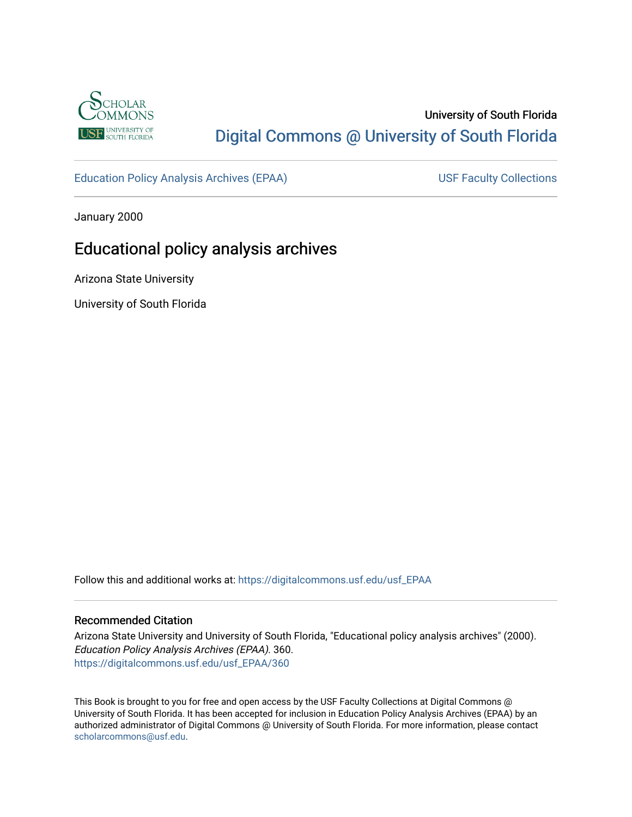

# University of South Florida [Digital Commons @ University of South Florida](https://digitalcommons.usf.edu/)

[Education Policy Analysis Archives \(EPAA\)](https://digitalcommons.usf.edu/usf_EPAA) USF Faculty Collections

January 2000

# Educational policy analysis archives

Arizona State University

University of South Florida

Follow this and additional works at: [https://digitalcommons.usf.edu/usf\\_EPAA](https://digitalcommons.usf.edu/usf_EPAA?utm_source=digitalcommons.usf.edu%2Fusf_EPAA%2F360&utm_medium=PDF&utm_campaign=PDFCoverPages)

#### Recommended Citation

Arizona State University and University of South Florida, "Educational policy analysis archives" (2000). Education Policy Analysis Archives (EPAA). 360. [https://digitalcommons.usf.edu/usf\\_EPAA/360](https://digitalcommons.usf.edu/usf_EPAA/360?utm_source=digitalcommons.usf.edu%2Fusf_EPAA%2F360&utm_medium=PDF&utm_campaign=PDFCoverPages)

This Book is brought to you for free and open access by the USF Faculty Collections at Digital Commons @ University of South Florida. It has been accepted for inclusion in Education Policy Analysis Archives (EPAA) by an authorized administrator of Digital Commons @ University of South Florida. For more information, please contact [scholarcommons@usf.edu.](mailto:scholarcommons@usf.edu)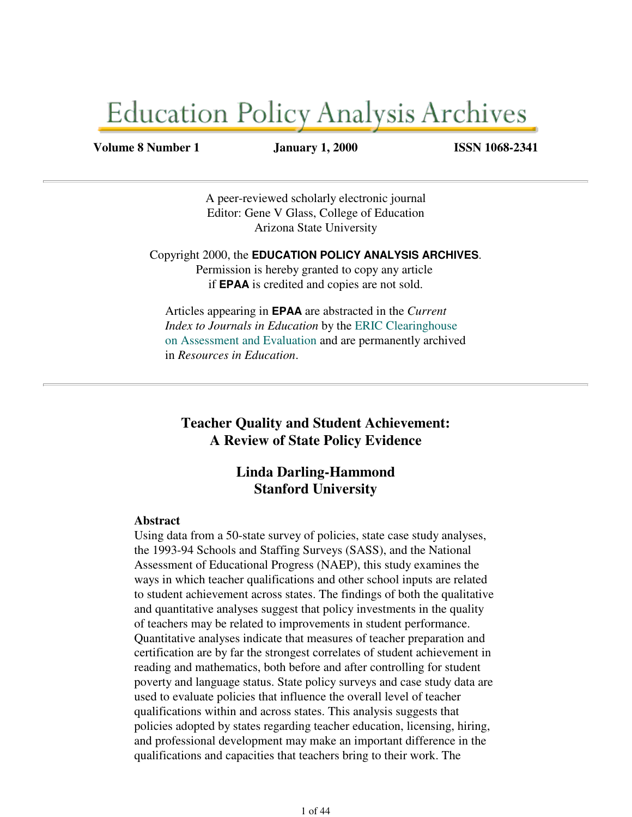# **Education Policy Analysis Archives**

#### **Volume 8 Number 1 January 1, 2000 ISSN 1068-2341**

A peer-reviewed scholarly electronic journal Editor: Gene V Glass, College of Education Arizona State University

Copyright 2000, the **EDUCATION POLICY ANALYSIS ARCHIVES**. Permission is hereby granted to copy any article if **EPAA** is credited and copies are not sold.

Articles appearing in **EPAA** are abstracted in the *Current Index to Journals in Education* by the ERIC Clearinghouse on Assessment and Evaluation and are permanently archived in *Resources in Education*.

**Teacher Quality and Student Achievement: A Review of State Policy Evidence**

### **Linda Darling-Hammond Stanford University**

### **Abstract**

Using data from a 50-state survey of policies, state case study analyses, the 1993-94 Schools and Staffing Surveys (SASS), and the National Assessment of Educational Progress (NAEP), this study examines the ways in which teacher qualifications and other school inputs are related to student achievement across states. The findings of both the qualitative and quantitative analyses suggest that policy investments in the quality of teachers may be related to improvements in student performance. Quantitative analyses indicate that measures of teacher preparation and certification are by far the strongest correlates of student achievement in reading and mathematics, both before and after controlling for student poverty and language status. State policy surveys and case study data are used to evaluate policies that influence the overall level of teacher qualifications within and across states. This analysis suggests that policies adopted by states regarding teacher education, licensing, hiring, and professional development may make an important difference in the qualifications and capacities that teachers bring to their work. The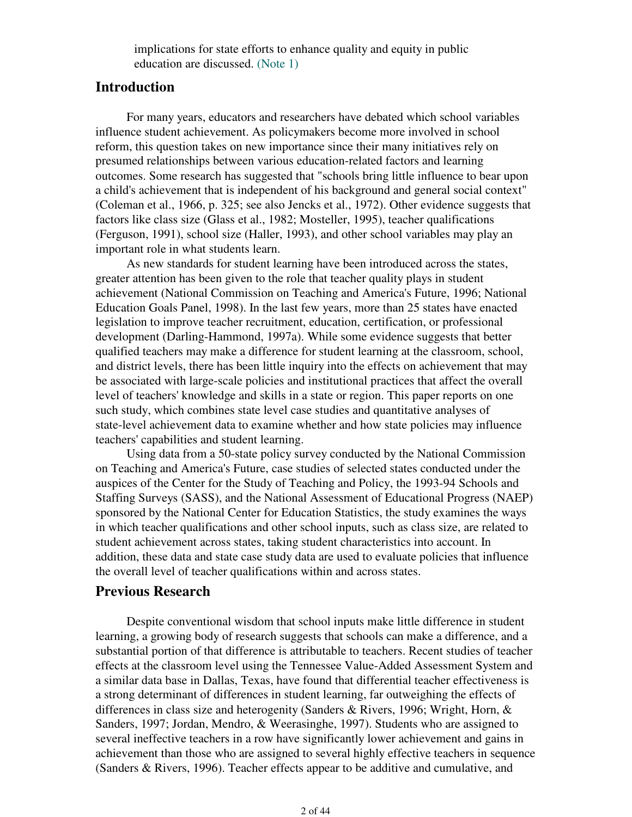implications for state efforts to enhance quality and equity in public education are discussed. (Note 1)

### **Introduction**

 For many years, educators and researchers have debated which school variables influence student achievement. As policymakers become more involved in school reform, this question takes on new importance since their many initiatives rely on presumed relationships between various education-related factors and learning outcomes. Some research has suggested that "schools bring little influence to bear upon a child's achievement that is independent of his background and general social context" (Coleman et al., 1966, p. 325; see also Jencks et al., 1972). Other evidence suggests that factors like class size (Glass et al., 1982; Mosteller, 1995), teacher qualifications (Ferguson, 1991), school size (Haller, 1993), and other school variables may play an important role in what students learn.

 As new standards for student learning have been introduced across the states, greater attention has been given to the role that teacher quality plays in student achievement (National Commission on Teaching and America's Future, 1996; National Education Goals Panel, 1998). In the last few years, more than 25 states have enacted legislation to improve teacher recruitment, education, certification, or professional development (Darling-Hammond, 1997a). While some evidence suggests that better qualified teachers may make a difference for student learning at the classroom, school, and district levels, there has been little inquiry into the effects on achievement that may be associated with large-scale policies and institutional practices that affect the overall level of teachers' knowledge and skills in a state or region. This paper reports on one such study, which combines state level case studies and quantitative analyses of state-level achievement data to examine whether and how state policies may influence teachers' capabilities and student learning.

 Using data from a 50-state policy survey conducted by the National Commission on Teaching and America's Future, case studies of selected states conducted under the auspices of the Center for the Study of Teaching and Policy, the 1993-94 Schools and Staffing Surveys (SASS), and the National Assessment of Educational Progress (NAEP) sponsored by the National Center for Education Statistics, the study examines the ways in which teacher qualifications and other school inputs, such as class size, are related to student achievement across states, taking student characteristics into account. In addition, these data and state case study data are used to evaluate policies that influence the overall level of teacher qualifications within and across states.

### **Previous Research**

 Despite conventional wisdom that school inputs make little difference in student learning, a growing body of research suggests that schools can make a difference, and a substantial portion of that difference is attributable to teachers. Recent studies of teacher effects at the classroom level using the Tennessee Value-Added Assessment System and a similar data base in Dallas, Texas, have found that differential teacher effectiveness is a strong determinant of differences in student learning, far outweighing the effects of differences in class size and heterogenity (Sanders & Rivers, 1996; Wright, Horn, & Sanders, 1997; Jordan, Mendro, & Weerasinghe, 1997). Students who are assigned to several ineffective teachers in a row have significantly lower achievement and gains in achievement than those who are assigned to several highly effective teachers in sequence (Sanders & Rivers, 1996). Teacher effects appear to be additive and cumulative, and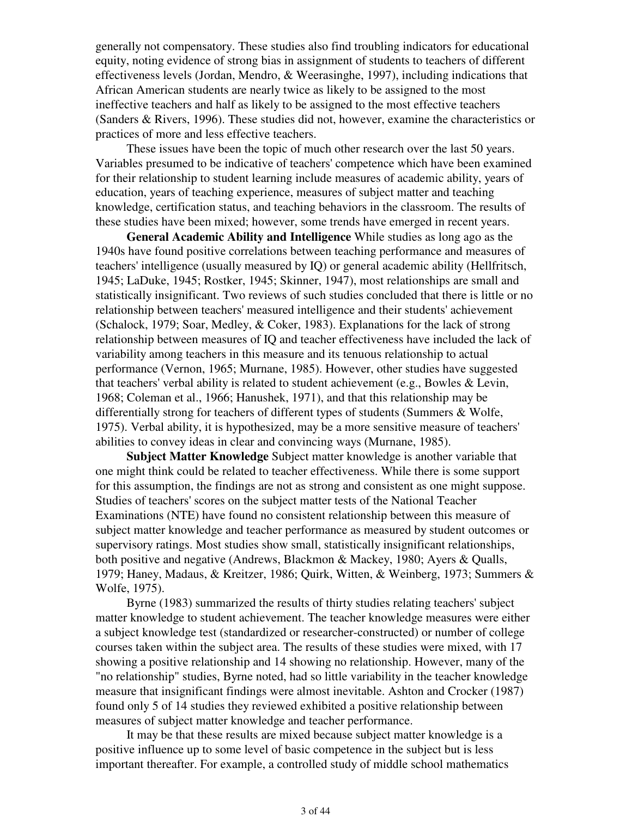generally not compensatory. These studies also find troubling indicators for educational equity, noting evidence of strong bias in assignment of students to teachers of different effectiveness levels (Jordan, Mendro, & Weerasinghe, 1997), including indications that African American students are nearly twice as likely to be assigned to the most ineffective teachers and half as likely to be assigned to the most effective teachers (Sanders & Rivers, 1996). These studies did not, however, examine the characteristics or practices of more and less effective teachers.

 These issues have been the topic of much other research over the last 50 years. Variables presumed to be indicative of teachers' competence which have been examined for their relationship to student learning include measures of academic ability, years of education, years of teaching experience, measures of subject matter and teaching knowledge, certification status, and teaching behaviors in the classroom. The results of these studies have been mixed; however, some trends have emerged in recent years.

 **General Academic Ability and Intelligence** While studies as long ago as the 1940s have found positive correlations between teaching performance and measures of teachers' intelligence (usually measured by IQ) or general academic ability (Hellfritsch, 1945; LaDuke, 1945; Rostker, 1945; Skinner, 1947), most relationships are small and statistically insignificant. Two reviews of such studies concluded that there is little or no relationship between teachers' measured intelligence and their students' achievement (Schalock, 1979; Soar, Medley, & Coker, 1983). Explanations for the lack of strong relationship between measures of IQ and teacher effectiveness have included the lack of variability among teachers in this measure and its tenuous relationship to actual performance (Vernon, 1965; Murnane, 1985). However, other studies have suggested that teachers' verbal ability is related to student achievement (e.g., Bowles & Levin, 1968; Coleman et al., 1966; Hanushek, 1971), and that this relationship may be differentially strong for teachers of different types of students (Summers & Wolfe, 1975). Verbal ability, it is hypothesized, may be a more sensitive measure of teachers' abilities to convey ideas in clear and convincing ways (Murnane, 1985).

 **Subject Matter Knowledge** Subject matter knowledge is another variable that one might think could be related to teacher effectiveness. While there is some support for this assumption, the findings are not as strong and consistent as one might suppose. Studies of teachers' scores on the subject matter tests of the National Teacher Examinations (NTE) have found no consistent relationship between this measure of subject matter knowledge and teacher performance as measured by student outcomes or supervisory ratings. Most studies show small, statistically insignificant relationships, both positive and negative (Andrews, Blackmon & Mackey, 1980; Ayers & Qualls, 1979; Haney, Madaus, & Kreitzer, 1986; Quirk, Witten, & Weinberg, 1973; Summers & Wolfe, 1975).

 Byrne (1983) summarized the results of thirty studies relating teachers' subject matter knowledge to student achievement. The teacher knowledge measures were either a subject knowledge test (standardized or researcher-constructed) or number of college courses taken within the subject area. The results of these studies were mixed, with 17 showing a positive relationship and 14 showing no relationship. However, many of the "no relationship" studies, Byrne noted, had so little variability in the teacher knowledge measure that insignificant findings were almost inevitable. Ashton and Crocker (1987) found only 5 of 14 studies they reviewed exhibited a positive relationship between measures of subject matter knowledge and teacher performance.

 It may be that these results are mixed because subject matter knowledge is a positive influence up to some level of basic competence in the subject but is less important thereafter. For example, a controlled study of middle school mathematics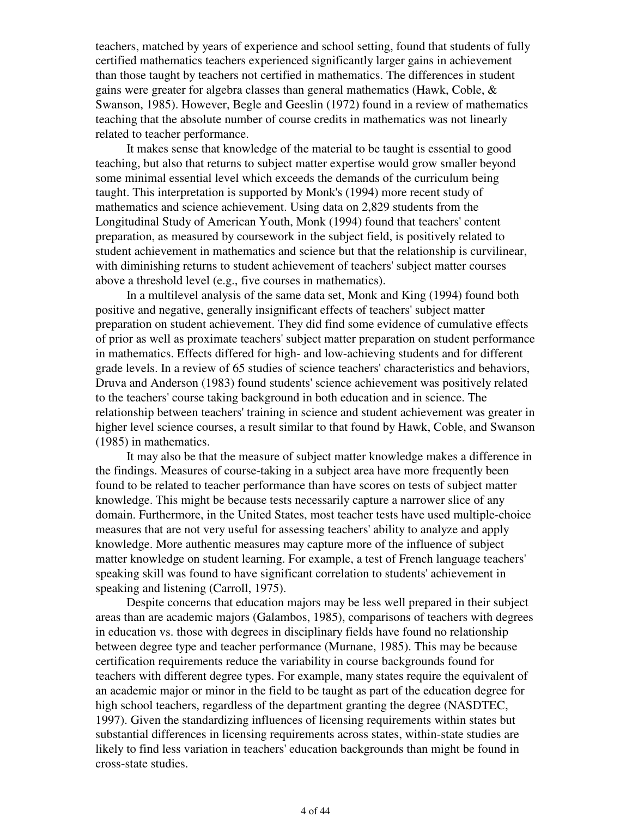teachers, matched by years of experience and school setting, found that students of fully certified mathematics teachers experienced significantly larger gains in achievement than those taught by teachers not certified in mathematics. The differences in student gains were greater for algebra classes than general mathematics (Hawk, Coble, & Swanson, 1985). However, Begle and Geeslin (1972) found in a review of mathematics teaching that the absolute number of course credits in mathematics was not linearly related to teacher performance.

 It makes sense that knowledge of the material to be taught is essential to good teaching, but also that returns to subject matter expertise would grow smaller beyond some minimal essential level which exceeds the demands of the curriculum being taught. This interpretation is supported by Monk's (1994) more recent study of mathematics and science achievement. Using data on 2,829 students from the Longitudinal Study of American Youth, Monk (1994) found that teachers' content preparation, as measured by coursework in the subject field, is positively related to student achievement in mathematics and science but that the relationship is curvilinear, with diminishing returns to student achievement of teachers' subject matter courses above a threshold level (e.g., five courses in mathematics).

 In a multilevel analysis of the same data set, Monk and King (1994) found both positive and negative, generally insignificant effects of teachers' subject matter preparation on student achievement. They did find some evidence of cumulative effects of prior as well as proximate teachers' subject matter preparation on student performance in mathematics. Effects differed for high- and low-achieving students and for different grade levels. In a review of 65 studies of science teachers' characteristics and behaviors, Druva and Anderson (1983) found students' science achievement was positively related to the teachers' course taking background in both education and in science. The relationship between teachers' training in science and student achievement was greater in higher level science courses, a result similar to that found by Hawk, Coble, and Swanson (1985) in mathematics.

 It may also be that the measure of subject matter knowledge makes a difference in the findings. Measures of course-taking in a subject area have more frequently been found to be related to teacher performance than have scores on tests of subject matter knowledge. This might be because tests necessarily capture a narrower slice of any domain. Furthermore, in the United States, most teacher tests have used multiple-choice measures that are not very useful for assessing teachers' ability to analyze and apply knowledge. More authentic measures may capture more of the influence of subject matter knowledge on student learning. For example, a test of French language teachers' speaking skill was found to have significant correlation to students' achievement in speaking and listening (Carroll, 1975).

 Despite concerns that education majors may be less well prepared in their subject areas than are academic majors (Galambos, 1985), comparisons of teachers with degrees in education vs. those with degrees in disciplinary fields have found no relationship between degree type and teacher performance (Murnane, 1985). This may be because certification requirements reduce the variability in course backgrounds found for teachers with different degree types. For example, many states require the equivalent of an academic major or minor in the field to be taught as part of the education degree for high school teachers, regardless of the department granting the degree (NASDTEC, 1997). Given the standardizing influences of licensing requirements within states but substantial differences in licensing requirements across states, within-state studies are likely to find less variation in teachers' education backgrounds than might be found in cross-state studies.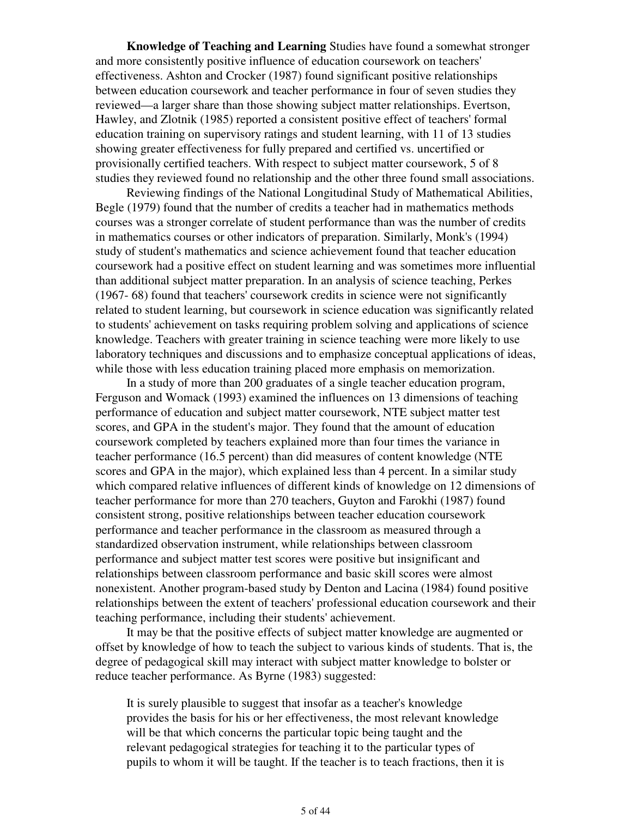**Knowledge of Teaching and Learning** Studies have found a somewhat stronger and more consistently positive influence of education coursework on teachers' effectiveness. Ashton and Crocker (1987) found significant positive relationships between education coursework and teacher performance in four of seven studies they reviewed—a larger share than those showing subject matter relationships. Evertson, Hawley, and Zlotnik (1985) reported a consistent positive effect of teachers' formal education training on supervisory ratings and student learning, with 11 of 13 studies showing greater effectiveness for fully prepared and certified vs. uncertified or provisionally certified teachers. With respect to subject matter coursework, 5 of 8 studies they reviewed found no relationship and the other three found small associations.

 Reviewing findings of the National Longitudinal Study of Mathematical Abilities, Begle (1979) found that the number of credits a teacher had in mathematics methods courses was a stronger correlate of student performance than was the number of credits in mathematics courses or other indicators of preparation. Similarly, Monk's (1994) study of student's mathematics and science achievement found that teacher education coursework had a positive effect on student learning and was sometimes more influential than additional subject matter preparation. In an analysis of science teaching, Perkes (1967- 68) found that teachers' coursework credits in science were not significantly related to student learning, but coursework in science education was significantly related to students' achievement on tasks requiring problem solving and applications of science knowledge. Teachers with greater training in science teaching were more likely to use laboratory techniques and discussions and to emphasize conceptual applications of ideas, while those with less education training placed more emphasis on memorization.

 In a study of more than 200 graduates of a single teacher education program, Ferguson and Womack (1993) examined the influences on 13 dimensions of teaching performance of education and subject matter coursework, NTE subject matter test scores, and GPA in the student's major. They found that the amount of education coursework completed by teachers explained more than four times the variance in teacher performance (16.5 percent) than did measures of content knowledge (NTE scores and GPA in the major), which explained less than 4 percent. In a similar study which compared relative influences of different kinds of knowledge on 12 dimensions of teacher performance for more than 270 teachers, Guyton and Farokhi (1987) found consistent strong, positive relationships between teacher education coursework performance and teacher performance in the classroom as measured through a standardized observation instrument, while relationships between classroom performance and subject matter test scores were positive but insignificant and relationships between classroom performance and basic skill scores were almost nonexistent. Another program-based study by Denton and Lacina (1984) found positive relationships between the extent of teachers' professional education coursework and their teaching performance, including their students' achievement.

 It may be that the positive effects of subject matter knowledge are augmented or offset by knowledge of how to teach the subject to various kinds of students. That is, the degree of pedagogical skill may interact with subject matter knowledge to bolster or reduce teacher performance. As Byrne (1983) suggested:

It is surely plausible to suggest that insofar as a teacher's knowledge provides the basis for his or her effectiveness, the most relevant knowledge will be that which concerns the particular topic being taught and the relevant pedagogical strategies for teaching it to the particular types of pupils to whom it will be taught. If the teacher is to teach fractions, then it is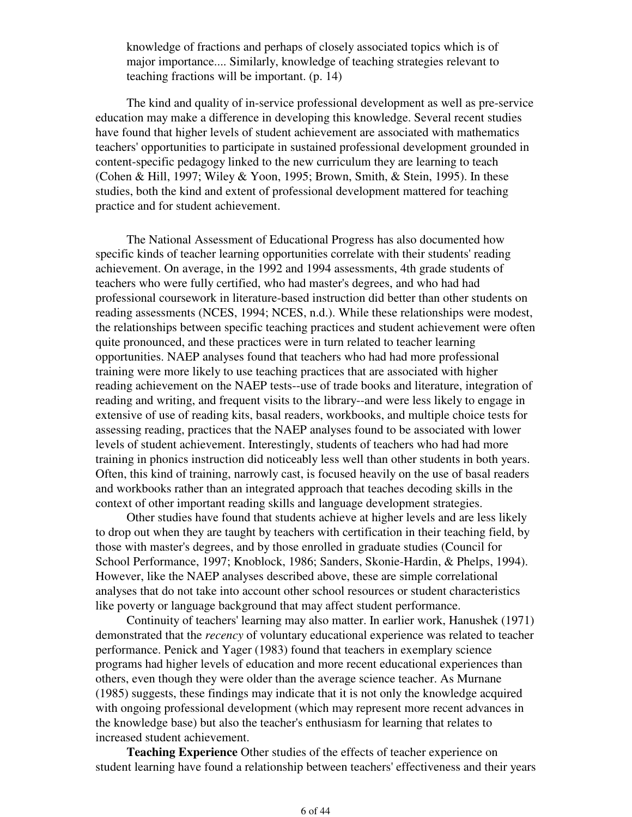knowledge of fractions and perhaps of closely associated topics which is of major importance.... Similarly, knowledge of teaching strategies relevant to teaching fractions will be important. (p. 14)

 The kind and quality of in-service professional development as well as pre-service education may make a difference in developing this knowledge. Several recent studies have found that higher levels of student achievement are associated with mathematics teachers' opportunities to participate in sustained professional development grounded in content-specific pedagogy linked to the new curriculum they are learning to teach (Cohen & Hill, 1997; Wiley & Yoon, 1995; Brown, Smith, & Stein, 1995). In these studies, both the kind and extent of professional development mattered for teaching practice and for student achievement.

 The National Assessment of Educational Progress has also documented how specific kinds of teacher learning opportunities correlate with their students' reading achievement. On average, in the 1992 and 1994 assessments, 4th grade students of teachers who were fully certified, who had master's degrees, and who had had professional coursework in literature-based instruction did better than other students on reading assessments (NCES, 1994; NCES, n.d.). While these relationships were modest, the relationships between specific teaching practices and student achievement were often quite pronounced, and these practices were in turn related to teacher learning opportunities. NAEP analyses found that teachers who had had more professional training were more likely to use teaching practices that are associated with higher reading achievement on the NAEP tests--use of trade books and literature, integration of reading and writing, and frequent visits to the library--and were less likely to engage in extensive of use of reading kits, basal readers, workbooks, and multiple choice tests for assessing reading, practices that the NAEP analyses found to be associated with lower levels of student achievement. Interestingly, students of teachers who had had more training in phonics instruction did noticeably less well than other students in both years. Often, this kind of training, narrowly cast, is focused heavily on the use of basal readers and workbooks rather than an integrated approach that teaches decoding skills in the context of other important reading skills and language development strategies.

 Other studies have found that students achieve at higher levels and are less likely to drop out when they are taught by teachers with certification in their teaching field, by those with master's degrees, and by those enrolled in graduate studies (Council for School Performance, 1997; Knoblock, 1986; Sanders, Skonie-Hardin, & Phelps, 1994). However, like the NAEP analyses described above, these are simple correlational analyses that do not take into account other school resources or student characteristics like poverty or language background that may affect student performance.

 Continuity of teachers' learning may also matter. In earlier work, Hanushek (1971) demonstrated that the *recency* of voluntary educational experience was related to teacher performance. Penick and Yager (1983) found that teachers in exemplary science programs had higher levels of education and more recent educational experiences than others, even though they were older than the average science teacher. As Murnane (1985) suggests, these findings may indicate that it is not only the knowledge acquired with ongoing professional development (which may represent more recent advances in the knowledge base) but also the teacher's enthusiasm for learning that relates to increased student achievement.

 **Teaching Experience** Other studies of the effects of teacher experience on student learning have found a relationship between teachers' effectiveness and their years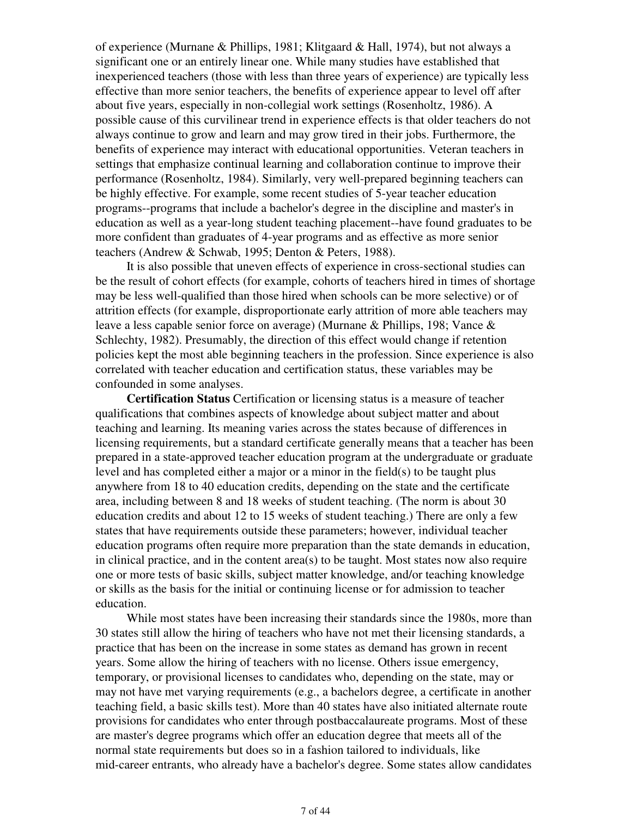of experience (Murnane & Phillips, 1981; Klitgaard & Hall, 1974), but not always a significant one or an entirely linear one. While many studies have established that inexperienced teachers (those with less than three years of experience) are typically less effective than more senior teachers, the benefits of experience appear to level off after about five years, especially in non-collegial work settings (Rosenholtz, 1986). A possible cause of this curvilinear trend in experience effects is that older teachers do not always continue to grow and learn and may grow tired in their jobs. Furthermore, the benefits of experience may interact with educational opportunities. Veteran teachers in settings that emphasize continual learning and collaboration continue to improve their performance (Rosenholtz, 1984). Similarly, very well-prepared beginning teachers can be highly effective. For example, some recent studies of 5-year teacher education programs--programs that include a bachelor's degree in the discipline and master's in education as well as a year-long student teaching placement--have found graduates to be more confident than graduates of 4-year programs and as effective as more senior teachers (Andrew & Schwab, 1995; Denton & Peters, 1988).

 It is also possible that uneven effects of experience in cross-sectional studies can be the result of cohort effects (for example, cohorts of teachers hired in times of shortage may be less well-qualified than those hired when schools can be more selective) or of attrition effects (for example, disproportionate early attrition of more able teachers may leave a less capable senior force on average) (Murnane & Phillips, 198; Vance & Schlechty, 1982). Presumably, the direction of this effect would change if retention policies kept the most able beginning teachers in the profession. Since experience is also correlated with teacher education and certification status, these variables may be confounded in some analyses.

 **Certification Status** Certification or licensing status is a measure of teacher qualifications that combines aspects of knowledge about subject matter and about teaching and learning. Its meaning varies across the states because of differences in licensing requirements, but a standard certificate generally means that a teacher has been prepared in a state-approved teacher education program at the undergraduate or graduate level and has completed either a major or a minor in the field(s) to be taught plus anywhere from 18 to 40 education credits, depending on the state and the certificate area, including between 8 and 18 weeks of student teaching. (The norm is about 30 education credits and about 12 to 15 weeks of student teaching.) There are only a few states that have requirements outside these parameters; however, individual teacher education programs often require more preparation than the state demands in education, in clinical practice, and in the content area(s) to be taught. Most states now also require one or more tests of basic skills, subject matter knowledge, and/or teaching knowledge or skills as the basis for the initial or continuing license or for admission to teacher education.

 While most states have been increasing their standards since the 1980s, more than 30 states still allow the hiring of teachers who have not met their licensing standards, a practice that has been on the increase in some states as demand has grown in recent years. Some allow the hiring of teachers with no license. Others issue emergency, temporary, or provisional licenses to candidates who, depending on the state, may or may not have met varying requirements (e.g., a bachelors degree, a certificate in another teaching field, a basic skills test). More than 40 states have also initiated alternate route provisions for candidates who enter through postbaccalaureate programs. Most of these are master's degree programs which offer an education degree that meets all of the normal state requirements but does so in a fashion tailored to individuals, like mid-career entrants, who already have a bachelor's degree. Some states allow candidates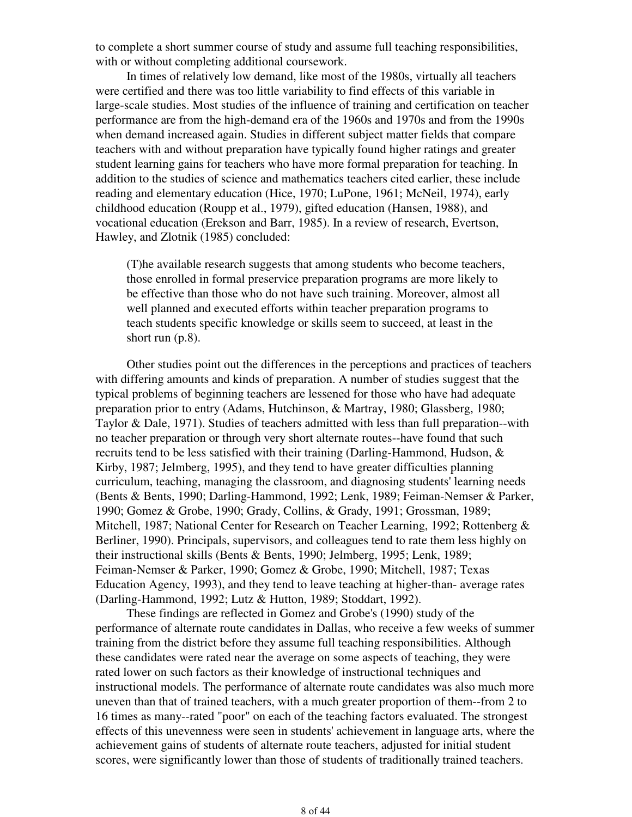to complete a short summer course of study and assume full teaching responsibilities, with or without completing additional coursework.

 In times of relatively low demand, like most of the 1980s, virtually all teachers were certified and there was too little variability to find effects of this variable in large-scale studies. Most studies of the influence of training and certification on teacher performance are from the high-demand era of the 1960s and 1970s and from the 1990s when demand increased again. Studies in different subject matter fields that compare teachers with and without preparation have typically found higher ratings and greater student learning gains for teachers who have more formal preparation for teaching. In addition to the studies of science and mathematics teachers cited earlier, these include reading and elementary education (Hice, 1970; LuPone, 1961; McNeil, 1974), early childhood education (Roupp et al., 1979), gifted education (Hansen, 1988), and vocational education (Erekson and Barr, 1985). In a review of research, Evertson, Hawley, and Zlotnik (1985) concluded:

(T)he available research suggests that among students who become teachers, those enrolled in formal preservice preparation programs are more likely to be effective than those who do not have such training. Moreover, almost all well planned and executed efforts within teacher preparation programs to teach students specific knowledge or skills seem to succeed, at least in the short run (p.8).

 Other studies point out the differences in the perceptions and practices of teachers with differing amounts and kinds of preparation. A number of studies suggest that the typical problems of beginning teachers are lessened for those who have had adequate preparation prior to entry (Adams, Hutchinson, & Martray, 1980; Glassberg, 1980; Taylor & Dale, 1971). Studies of teachers admitted with less than full preparation--with no teacher preparation or through very short alternate routes--have found that such recruits tend to be less satisfied with their training (Darling-Hammond, Hudson, & Kirby, 1987; Jelmberg, 1995), and they tend to have greater difficulties planning curriculum, teaching, managing the classroom, and diagnosing students' learning needs (Bents & Bents, 1990; Darling-Hammond, 1992; Lenk, 1989; Feiman-Nemser & Parker, 1990; Gomez & Grobe, 1990; Grady, Collins, & Grady, 1991; Grossman, 1989; Mitchell, 1987; National Center for Research on Teacher Learning, 1992; Rottenberg & Berliner, 1990). Principals, supervisors, and colleagues tend to rate them less highly on their instructional skills (Bents & Bents, 1990; Jelmberg, 1995; Lenk, 1989; Feiman-Nemser & Parker, 1990; Gomez & Grobe, 1990; Mitchell, 1987; Texas Education Agency, 1993), and they tend to leave teaching at higher-than- average rates (Darling-Hammond, 1992; Lutz & Hutton, 1989; Stoddart, 1992).

 These findings are reflected in Gomez and Grobe's (1990) study of the performance of alternate route candidates in Dallas, who receive a few weeks of summer training from the district before they assume full teaching responsibilities. Although these candidates were rated near the average on some aspects of teaching, they were rated lower on such factors as their knowledge of instructional techniques and instructional models. The performance of alternate route candidates was also much more uneven than that of trained teachers, with a much greater proportion of them--from 2 to 16 times as many--rated "poor" on each of the teaching factors evaluated. The strongest effects of this unevenness were seen in students' achievement in language arts, where the achievement gains of students of alternate route teachers, adjusted for initial student scores, were significantly lower than those of students of traditionally trained teachers.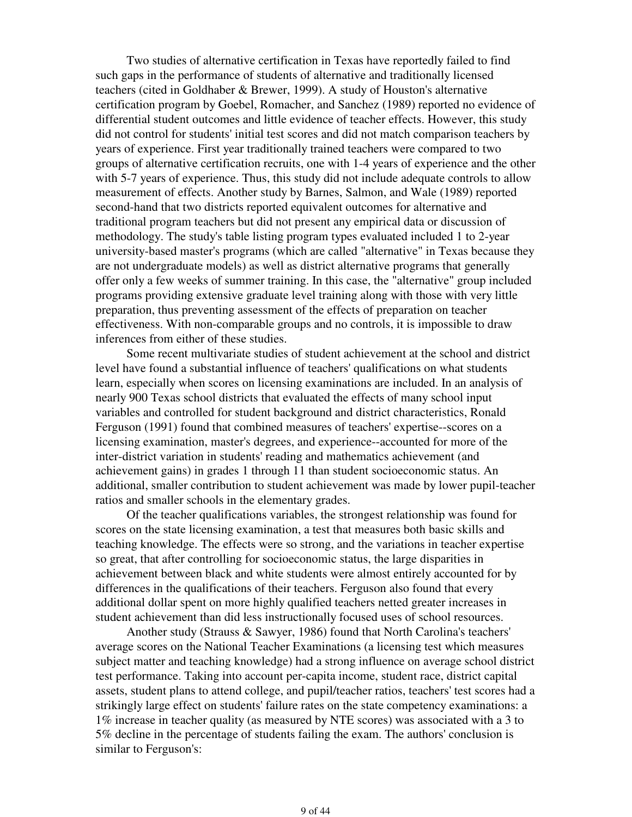Two studies of alternative certification in Texas have reportedly failed to find such gaps in the performance of students of alternative and traditionally licensed teachers (cited in Goldhaber & Brewer, 1999). A study of Houston's alternative certification program by Goebel, Romacher, and Sanchez (1989) reported no evidence of differential student outcomes and little evidence of teacher effects. However, this study did not control for students' initial test scores and did not match comparison teachers by years of experience. First year traditionally trained teachers were compared to two groups of alternative certification recruits, one with 1-4 years of experience and the other with 5-7 years of experience. Thus, this study did not include adequate controls to allow measurement of effects. Another study by Barnes, Salmon, and Wale (1989) reported second-hand that two districts reported equivalent outcomes for alternative and traditional program teachers but did not present any empirical data or discussion of methodology. The study's table listing program types evaluated included 1 to 2-year university-based master's programs (which are called "alternative" in Texas because they are not undergraduate models) as well as district alternative programs that generally offer only a few weeks of summer training. In this case, the "alternative" group included programs providing extensive graduate level training along with those with very little preparation, thus preventing assessment of the effects of preparation on teacher effectiveness. With non-comparable groups and no controls, it is impossible to draw inferences from either of these studies.

 Some recent multivariate studies of student achievement at the school and district level have found a substantial influence of teachers' qualifications on what students learn, especially when scores on licensing examinations are included. In an analysis of nearly 900 Texas school districts that evaluated the effects of many school input variables and controlled for student background and district characteristics, Ronald Ferguson (1991) found that combined measures of teachers' expertise--scores on a licensing examination, master's degrees, and experience--accounted for more of the inter-district variation in students' reading and mathematics achievement (and achievement gains) in grades 1 through 11 than student socioeconomic status. An additional, smaller contribution to student achievement was made by lower pupil-teacher ratios and smaller schools in the elementary grades.

 Of the teacher qualifications variables, the strongest relationship was found for scores on the state licensing examination, a test that measures both basic skills and teaching knowledge. The effects were so strong, and the variations in teacher expertise so great, that after controlling for socioeconomic status, the large disparities in achievement between black and white students were almost entirely accounted for by differences in the qualifications of their teachers. Ferguson also found that every additional dollar spent on more highly qualified teachers netted greater increases in student achievement than did less instructionally focused uses of school resources.

 Another study (Strauss & Sawyer, 1986) found that North Carolina's teachers' average scores on the National Teacher Examinations (a licensing test which measures subject matter and teaching knowledge) had a strong influence on average school district test performance. Taking into account per-capita income, student race, district capital assets, student plans to attend college, and pupil/teacher ratios, teachers' test scores had a strikingly large effect on students' failure rates on the state competency examinations: a 1% increase in teacher quality (as measured by NTE scores) was associated with a 3 to 5% decline in the percentage of students failing the exam. The authors' conclusion is similar to Ferguson's: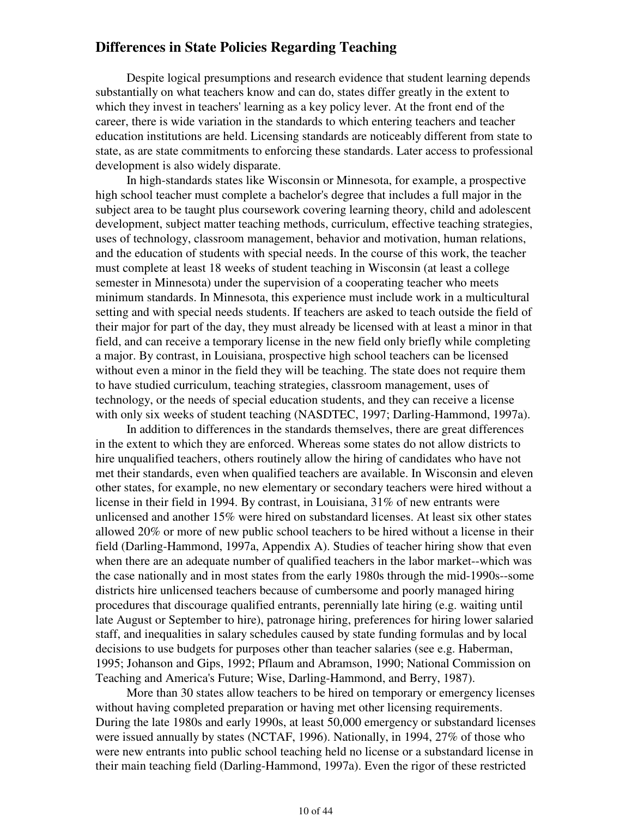### **Differences in State Policies Regarding Teaching**

 Despite logical presumptions and research evidence that student learning depends substantially on what teachers know and can do, states differ greatly in the extent to which they invest in teachers' learning as a key policy lever. At the front end of the career, there is wide variation in the standards to which entering teachers and teacher education institutions are held. Licensing standards are noticeably different from state to state, as are state commitments to enforcing these standards. Later access to professional development is also widely disparate.

 In high-standards states like Wisconsin or Minnesota, for example, a prospective high school teacher must complete a bachelor's degree that includes a full major in the subject area to be taught plus coursework covering learning theory, child and adolescent development, subject matter teaching methods, curriculum, effective teaching strategies, uses of technology, classroom management, behavior and motivation, human relations, and the education of students with special needs. In the course of this work, the teacher must complete at least 18 weeks of student teaching in Wisconsin (at least a college semester in Minnesota) under the supervision of a cooperating teacher who meets minimum standards. In Minnesota, this experience must include work in a multicultural setting and with special needs students. If teachers are asked to teach outside the field of their major for part of the day, they must already be licensed with at least a minor in that field, and can receive a temporary license in the new field only briefly while completing a major. By contrast, in Louisiana, prospective high school teachers can be licensed without even a minor in the field they will be teaching. The state does not require them to have studied curriculum, teaching strategies, classroom management, uses of technology, or the needs of special education students, and they can receive a license with only six weeks of student teaching (NASDTEC, 1997; Darling-Hammond, 1997a).

 In addition to differences in the standards themselves, there are great differences in the extent to which they are enforced. Whereas some states do not allow districts to hire unqualified teachers, others routinely allow the hiring of candidates who have not met their standards, even when qualified teachers are available. In Wisconsin and eleven other states, for example, no new elementary or secondary teachers were hired without a license in their field in 1994. By contrast, in Louisiana, 31% of new entrants were unlicensed and another 15% were hired on substandard licenses. At least six other states allowed 20% or more of new public school teachers to be hired without a license in their field (Darling-Hammond, 1997a, Appendix A). Studies of teacher hiring show that even when there are an adequate number of qualified teachers in the labor market--which was the case nationally and in most states from the early 1980s through the mid-1990s--some districts hire unlicensed teachers because of cumbersome and poorly managed hiring procedures that discourage qualified entrants, perennially late hiring (e.g. waiting until late August or September to hire), patronage hiring, preferences for hiring lower salaried staff, and inequalities in salary schedules caused by state funding formulas and by local decisions to use budgets for purposes other than teacher salaries (see e.g. Haberman, 1995; Johanson and Gips, 1992; Pflaum and Abramson, 1990; National Commission on Teaching and America's Future; Wise, Darling-Hammond, and Berry, 1987).

 More than 30 states allow teachers to be hired on temporary or emergency licenses without having completed preparation or having met other licensing requirements. During the late 1980s and early 1990s, at least 50,000 emergency or substandard licenses were issued annually by states (NCTAF, 1996). Nationally, in 1994, 27% of those who were new entrants into public school teaching held no license or a substandard license in their main teaching field (Darling-Hammond, 1997a). Even the rigor of these restricted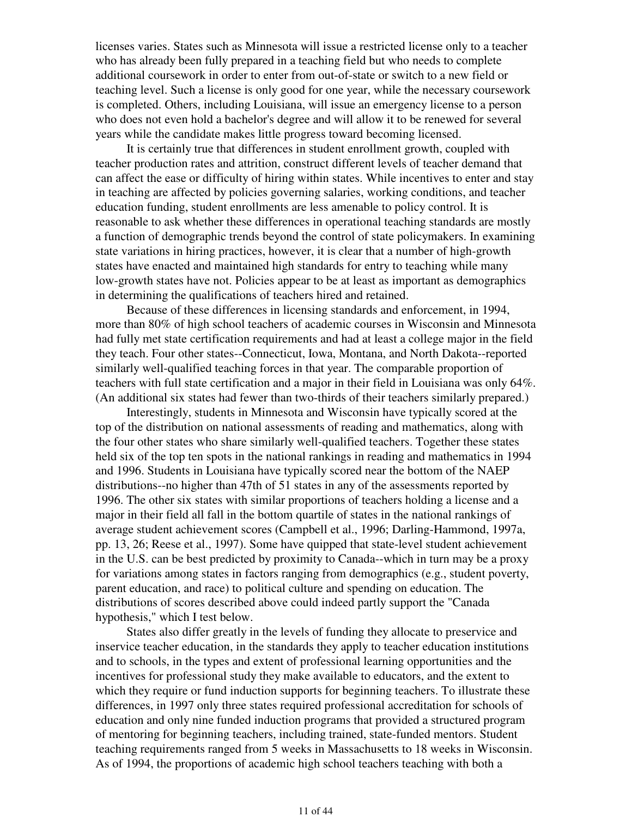licenses varies. States such as Minnesota will issue a restricted license only to a teacher who has already been fully prepared in a teaching field but who needs to complete additional coursework in order to enter from out-of-state or switch to a new field or teaching level. Such a license is only good for one year, while the necessary coursework is completed. Others, including Louisiana, will issue an emergency license to a person who does not even hold a bachelor's degree and will allow it to be renewed for several years while the candidate makes little progress toward becoming licensed.

 It is certainly true that differences in student enrollment growth, coupled with teacher production rates and attrition, construct different levels of teacher demand that can affect the ease or difficulty of hiring within states. While incentives to enter and stay in teaching are affected by policies governing salaries, working conditions, and teacher education funding, student enrollments are less amenable to policy control. It is reasonable to ask whether these differences in operational teaching standards are mostly a function of demographic trends beyond the control of state policymakers. In examining state variations in hiring practices, however, it is clear that a number of high-growth states have enacted and maintained high standards for entry to teaching while many low-growth states have not. Policies appear to be at least as important as demographics in determining the qualifications of teachers hired and retained.

 Because of these differences in licensing standards and enforcement, in 1994, more than 80% of high school teachers of academic courses in Wisconsin and Minnesota had fully met state certification requirements and had at least a college major in the field they teach. Four other states--Connecticut, Iowa, Montana, and North Dakota--reported similarly well-qualified teaching forces in that year. The comparable proportion of teachers with full state certification and a major in their field in Louisiana was only 64%. (An additional six states had fewer than two-thirds of their teachers similarly prepared.)

 Interestingly, students in Minnesota and Wisconsin have typically scored at the top of the distribution on national assessments of reading and mathematics, along with the four other states who share similarly well-qualified teachers. Together these states held six of the top ten spots in the national rankings in reading and mathematics in 1994 and 1996. Students in Louisiana have typically scored near the bottom of the NAEP distributions--no higher than 47th of 51 states in any of the assessments reported by 1996. The other six states with similar proportions of teachers holding a license and a major in their field all fall in the bottom quartile of states in the national rankings of average student achievement scores (Campbell et al., 1996; Darling-Hammond, 1997a, pp. 13, 26; Reese et al., 1997). Some have quipped that state-level student achievement in the U.S. can be best predicted by proximity to Canada--which in turn may be a proxy for variations among states in factors ranging from demographics (e.g., student poverty, parent education, and race) to political culture and spending on education. The distributions of scores described above could indeed partly support the "Canada hypothesis," which I test below.

 States also differ greatly in the levels of funding they allocate to preservice and inservice teacher education, in the standards they apply to teacher education institutions and to schools, in the types and extent of professional learning opportunities and the incentives for professional study they make available to educators, and the extent to which they require or fund induction supports for beginning teachers. To illustrate these differences, in 1997 only three states required professional accreditation for schools of education and only nine funded induction programs that provided a structured program of mentoring for beginning teachers, including trained, state-funded mentors. Student teaching requirements ranged from 5 weeks in Massachusetts to 18 weeks in Wisconsin. As of 1994, the proportions of academic high school teachers teaching with both a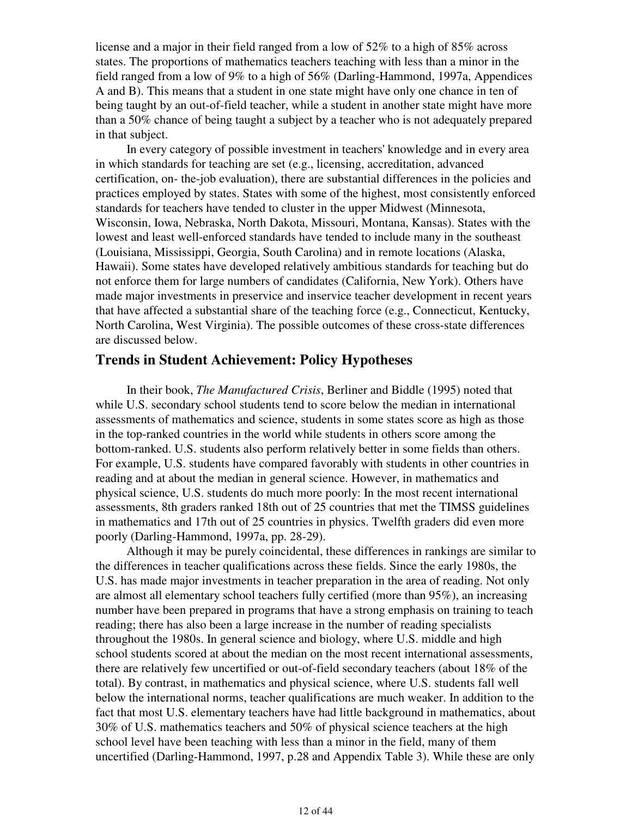license and a major in their field ranged from a low of 52% to a high of 85% across states. The proportions of mathematics teachers teaching with less than a minor in the field ranged from a low of 9% to a high of 56% (Darling-Hammond, 1997a, Appendices A and B). This means that a student in one state might have only one chance in ten of being taught by an out-of-field teacher, while a student in another state might have more than a 50% chance of being taught a subject by a teacher who is not adequately prepared in that subject.

 In every category of possible investment in teachers' knowledge and in every area in which standards for teaching are set (e.g., licensing, accreditation, advanced certification, on- the-job evaluation), there are substantial differences in the policies and practices employed by states. States with some of the highest, most consistently enforced standards for teachers have tended to cluster in the upper Midwest (Minnesota, Wisconsin, Iowa, Nebraska, North Dakota, Missouri, Montana, Kansas). States with the lowest and least well-enforced standards have tended to include many in the southeast (Louisiana, Mississippi, Georgia, South Carolina) and in remote locations (Alaska, Hawaii). Some states have developed relatively ambitious standards for teaching but do not enforce them for large numbers of candidates (California, New York). Others have made major investments in preservice and inservice teacher development in recent years that have affected a substantial share of the teaching force (e.g., Connecticut, Kentucky, North Carolina, West Virginia). The possible outcomes of these cross-state differences are discussed below.

### **Trends in Student Achievement: Policy Hypotheses**

 In their book, *The Manufactured Crisis*, Berliner and Biddle (1995) noted that while U.S. secondary school students tend to score below the median in international assessments of mathematics and science, students in some states score as high as those in the top-ranked countries in the world while students in others score among the bottom-ranked. U.S. students also perform relatively better in some fields than others. For example, U.S. students have compared favorably with students in other countries in reading and at about the median in general science. However, in mathematics and physical science, U.S. students do much more poorly: In the most recent international assessments, 8th graders ranked 18th out of 25 countries that met the TIMSS guidelines in mathematics and 17th out of 25 countries in physics. Twelfth graders did even more poorly (Darling-Hammond, 1997a, pp. 28-29).

 Although it may be purely coincidental, these differences in rankings are similar to the differences in teacher qualifications across these fields. Since the early 1980s, the U.S. has made major investments in teacher preparation in the area of reading. Not only are almost all elementary school teachers fully certified (more than 95%), an increasing number have been prepared in programs that have a strong emphasis on training to teach reading; there has also been a large increase in the number of reading specialists throughout the 1980s. In general science and biology, where U.S. middle and high school students scored at about the median on the most recent international assessments, there are relatively few uncertified or out-of-field secondary teachers (about 18% of the total). By contrast, in mathematics and physical science, where U.S. students fall well below the international norms, teacher qualifications are much weaker. In addition to the fact that most U.S. elementary teachers have had little background in mathematics, about 30% of U.S. mathematics teachers and 50% of physical science teachers at the high school level have been teaching with less than a minor in the field, many of them uncertified (Darling-Hammond, 1997, p.28 and Appendix Table 3). While these are only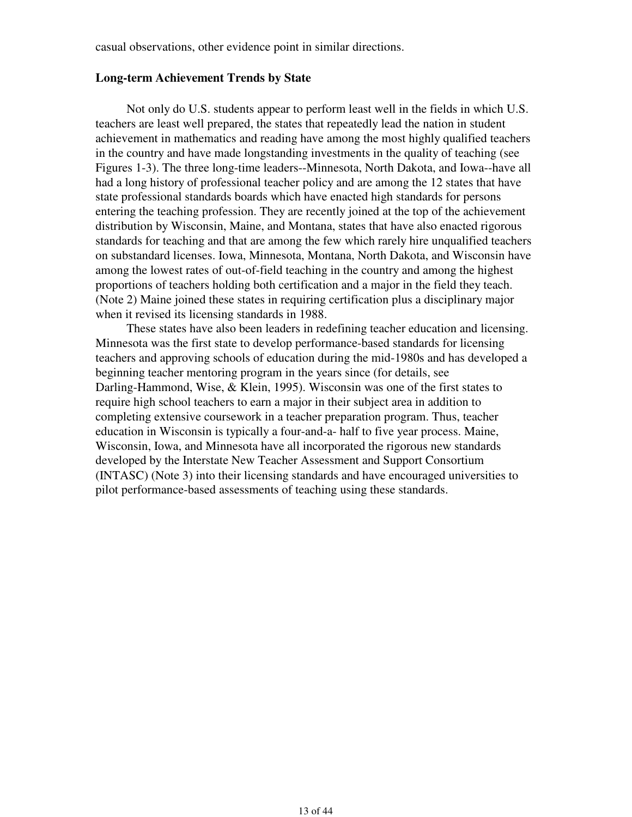casual observations, other evidence point in similar directions.

#### **Long-term Achievement Trends by State**

 Not only do U.S. students appear to perform least well in the fields in which U.S. teachers are least well prepared, the states that repeatedly lead the nation in student achievement in mathematics and reading have among the most highly qualified teachers in the country and have made longstanding investments in the quality of teaching (see Figures 1-3). The three long-time leaders--Minnesota, North Dakota, and Iowa--have all had a long history of professional teacher policy and are among the 12 states that have state professional standards boards which have enacted high standards for persons entering the teaching profession. They are recently joined at the top of the achievement distribution by Wisconsin, Maine, and Montana, states that have also enacted rigorous standards for teaching and that are among the few which rarely hire unqualified teachers on substandard licenses. Iowa, Minnesota, Montana, North Dakota, and Wisconsin have among the lowest rates of out-of-field teaching in the country and among the highest proportions of teachers holding both certification and a major in the field they teach. (Note 2) Maine joined these states in requiring certification plus a disciplinary major when it revised its licensing standards in 1988.

 These states have also been leaders in redefining teacher education and licensing. Minnesota was the first state to develop performance-based standards for licensing teachers and approving schools of education during the mid-1980s and has developed a beginning teacher mentoring program in the years since (for details, see Darling-Hammond, Wise, & Klein, 1995). Wisconsin was one of the first states to require high school teachers to earn a major in their subject area in addition to completing extensive coursework in a teacher preparation program. Thus, teacher education in Wisconsin is typically a four-and-a- half to five year process. Maine, Wisconsin, Iowa, and Minnesota have all incorporated the rigorous new standards developed by the Interstate New Teacher Assessment and Support Consortium (INTASC) (Note 3) into their licensing standards and have encouraged universities to pilot performance-based assessments of teaching using these standards.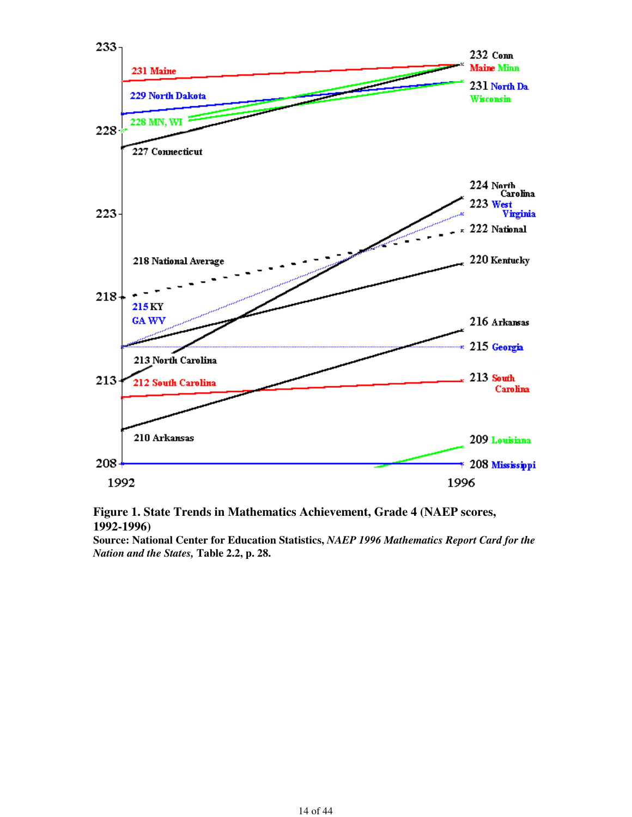

### **Figure 1. State Trends in Mathematics Achievement, Grade 4 (NAEP scores, 1992-1996)**

**Source: National Center for Education Statistics,** *NAEP 1996 Mathematics Report Card for the Nation and the States,* **Table 2.2, p. 28.**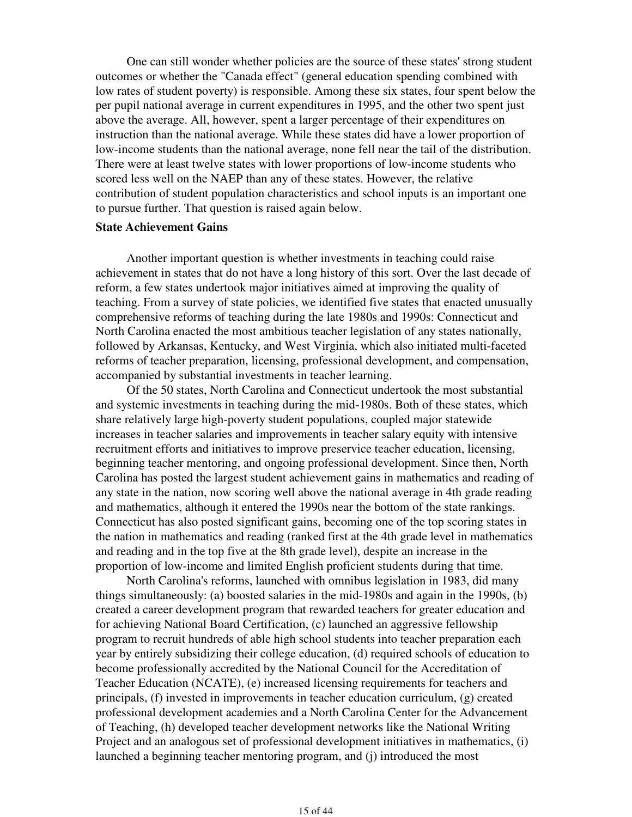One can still wonder whether policies are the source of these states' strong student outcomes or whether the "Canada effect" (general education spending combined with low rates of student poverty) is responsible. Among these six states, four spent below the per pupil national average in current expenditures in 1995, and the other two spent just above the average. All, however, spent a larger percentage of their expenditures on instruction than the national average. While these states did have a lower proportion of low-income students than the national average, none fell near the tail of the distribution. There were at least twelve states with lower proportions of low-income students who scored less well on the NAEP than any of these states. However, the relative contribution of student population characteristics and school inputs is an important one to pursue further. That question is raised again below.

#### **State Achievement Gains**

 Another important question is whether investments in teaching could raise achievement in states that do not have a long history of this sort. Over the last decade of reform, a few states undertook major initiatives aimed at improving the quality of teaching. From a survey of state policies, we identified five states that enacted unusually comprehensive reforms of teaching during the late 1980s and 1990s: Connecticut and North Carolina enacted the most ambitious teacher legislation of any states nationally, followed by Arkansas, Kentucky, and West Virginia, which also initiated multi-faceted reforms of teacher preparation, licensing, professional development, and compensation, accompanied by substantial investments in teacher learning.

 Of the 50 states, North Carolina and Connecticut undertook the most substantial and systemic investments in teaching during the mid-1980s. Both of these states, which share relatively large high-poverty student populations, coupled major statewide increases in teacher salaries and improvements in teacher salary equity with intensive recruitment efforts and initiatives to improve preservice teacher education, licensing, beginning teacher mentoring, and ongoing professional development. Since then, North Carolina has posted the largest student achievement gains in mathematics and reading of any state in the nation, now scoring well above the national average in 4th grade reading and mathematics, although it entered the 1990s near the bottom of the state rankings. Connecticut has also posted significant gains, becoming one of the top scoring states in the nation in mathematics and reading (ranked first at the 4th grade level in mathematics and reading and in the top five at the 8th grade level), despite an increase in the proportion of low-income and limited English proficient students during that time.

 North Carolina's reforms, launched with omnibus legislation in 1983, did many things simultaneously: (a) boosted salaries in the mid-1980s and again in the 1990s, (b) created a career development program that rewarded teachers for greater education and for achieving National Board Certification, (c) launched an aggressive fellowship program to recruit hundreds of able high school students into teacher preparation each year by entirely subsidizing their college education, (d) required schools of education to become professionally accredited by the National Council for the Accreditation of Teacher Education (NCATE), (e) increased licensing requirements for teachers and principals, (f) invested in improvements in teacher education curriculum, (g) created professional development academies and a North Carolina Center for the Advancement of Teaching, (h) developed teacher development networks like the National Writing Project and an analogous set of professional development initiatives in mathematics, (i) launched a beginning teacher mentoring program, and (j) introduced the most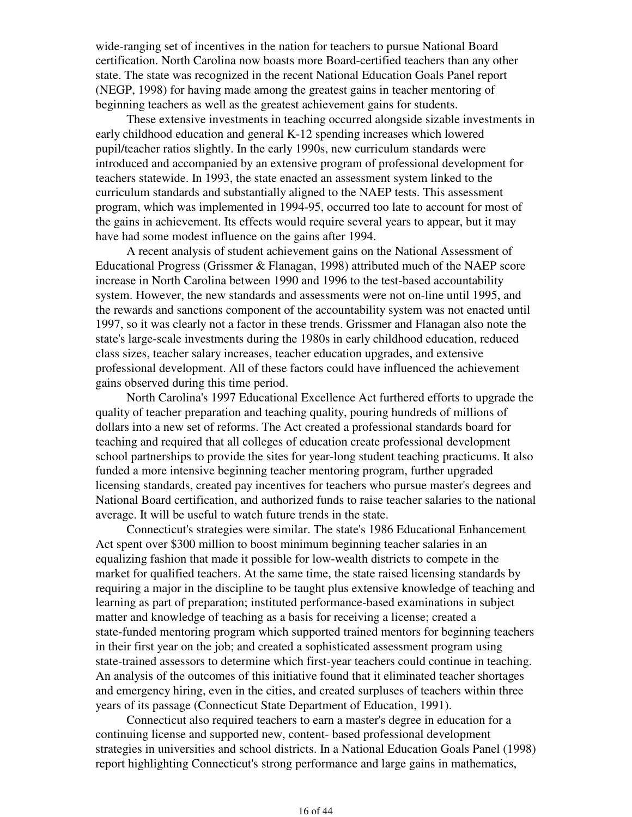wide-ranging set of incentives in the nation for teachers to pursue National Board certification. North Carolina now boasts more Board-certified teachers than any other state. The state was recognized in the recent National Education Goals Panel report (NEGP, 1998) for having made among the greatest gains in teacher mentoring of beginning teachers as well as the greatest achievement gains for students.

 These extensive investments in teaching occurred alongside sizable investments in early childhood education and general K-12 spending increases which lowered pupil/teacher ratios slightly. In the early 1990s, new curriculum standards were introduced and accompanied by an extensive program of professional development for teachers statewide. In 1993, the state enacted an assessment system linked to the curriculum standards and substantially aligned to the NAEP tests. This assessment program, which was implemented in 1994-95, occurred too late to account for most of the gains in achievement. Its effects would require several years to appear, but it may have had some modest influence on the gains after 1994.

 A recent analysis of student achievement gains on the National Assessment of Educational Progress (Grissmer & Flanagan, 1998) attributed much of the NAEP score increase in North Carolina between 1990 and 1996 to the test-based accountability system. However, the new standards and assessments were not on-line until 1995, and the rewards and sanctions component of the accountability system was not enacted until 1997, so it was clearly not a factor in these trends. Grissmer and Flanagan also note the state's large-scale investments during the 1980s in early childhood education, reduced class sizes, teacher salary increases, teacher education upgrades, and extensive professional development. All of these factors could have influenced the achievement gains observed during this time period.

 North Carolina's 1997 Educational Excellence Act furthered efforts to upgrade the quality of teacher preparation and teaching quality, pouring hundreds of millions of dollars into a new set of reforms. The Act created a professional standards board for teaching and required that all colleges of education create professional development school partnerships to provide the sites for year-long student teaching practicums. It also funded a more intensive beginning teacher mentoring program, further upgraded licensing standards, created pay incentives for teachers who pursue master's degrees and National Board certification, and authorized funds to raise teacher salaries to the national average. It will be useful to watch future trends in the state.

 Connecticut's strategies were similar. The state's 1986 Educational Enhancement Act spent over \$300 million to boost minimum beginning teacher salaries in an equalizing fashion that made it possible for low-wealth districts to compete in the market for qualified teachers. At the same time, the state raised licensing standards by requiring a major in the discipline to be taught plus extensive knowledge of teaching and learning as part of preparation; instituted performance-based examinations in subject matter and knowledge of teaching as a basis for receiving a license; created a state-funded mentoring program which supported trained mentors for beginning teachers in their first year on the job; and created a sophisticated assessment program using state-trained assessors to determine which first-year teachers could continue in teaching. An analysis of the outcomes of this initiative found that it eliminated teacher shortages and emergency hiring, even in the cities, and created surpluses of teachers within three years of its passage (Connecticut State Department of Education, 1991).

 Connecticut also required teachers to earn a master's degree in education for a continuing license and supported new, content- based professional development strategies in universities and school districts. In a National Education Goals Panel (1998) report highlighting Connecticut's strong performance and large gains in mathematics,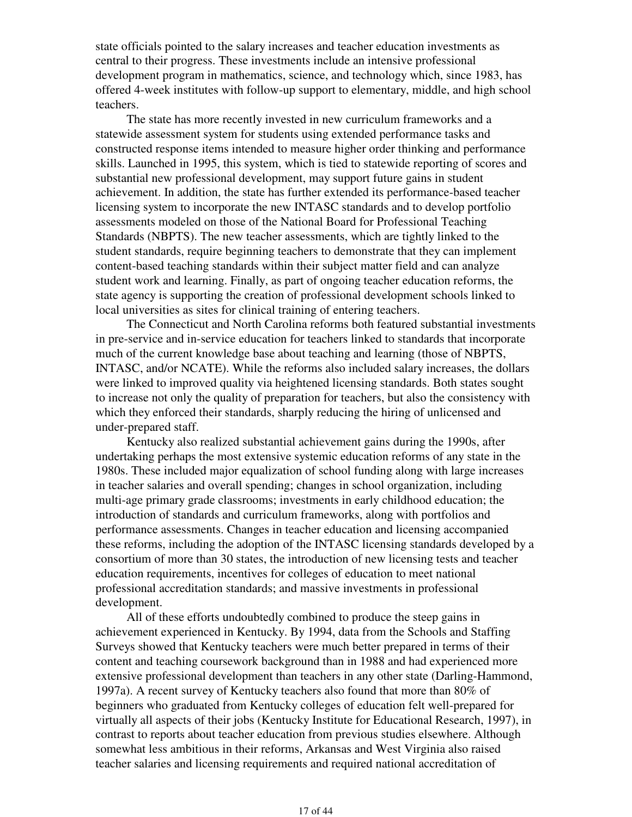state officials pointed to the salary increases and teacher education investments as central to their progress. These investments include an intensive professional development program in mathematics, science, and technology which, since 1983, has offered 4-week institutes with follow-up support to elementary, middle, and high school teachers.

 The state has more recently invested in new curriculum frameworks and a statewide assessment system for students using extended performance tasks and constructed response items intended to measure higher order thinking and performance skills. Launched in 1995, this system, which is tied to statewide reporting of scores and substantial new professional development, may support future gains in student achievement. In addition, the state has further extended its performance-based teacher licensing system to incorporate the new INTASC standards and to develop portfolio assessments modeled on those of the National Board for Professional Teaching Standards (NBPTS). The new teacher assessments, which are tightly linked to the student standards, require beginning teachers to demonstrate that they can implement content-based teaching standards within their subject matter field and can analyze student work and learning. Finally, as part of ongoing teacher education reforms, the state agency is supporting the creation of professional development schools linked to local universities as sites for clinical training of entering teachers.

 The Connecticut and North Carolina reforms both featured substantial investments in pre-service and in-service education for teachers linked to standards that incorporate much of the current knowledge base about teaching and learning (those of NBPTS, INTASC, and/or NCATE). While the reforms also included salary increases, the dollars were linked to improved quality via heightened licensing standards. Both states sought to increase not only the quality of preparation for teachers, but also the consistency with which they enforced their standards, sharply reducing the hiring of unlicensed and under-prepared staff.

 Kentucky also realized substantial achievement gains during the 1990s, after undertaking perhaps the most extensive systemic education reforms of any state in the 1980s. These included major equalization of school funding along with large increases in teacher salaries and overall spending; changes in school organization, including multi-age primary grade classrooms; investments in early childhood education; the introduction of standards and curriculum frameworks, along with portfolios and performance assessments. Changes in teacher education and licensing accompanied these reforms, including the adoption of the INTASC licensing standards developed by a consortium of more than 30 states, the introduction of new licensing tests and teacher education requirements, incentives for colleges of education to meet national professional accreditation standards; and massive investments in professional development.

 All of these efforts undoubtedly combined to produce the steep gains in achievement experienced in Kentucky. By 1994, data from the Schools and Staffing Surveys showed that Kentucky teachers were much better prepared in terms of their content and teaching coursework background than in 1988 and had experienced more extensive professional development than teachers in any other state (Darling-Hammond, 1997a). A recent survey of Kentucky teachers also found that more than 80% of beginners who graduated from Kentucky colleges of education felt well-prepared for virtually all aspects of their jobs (Kentucky Institute for Educational Research, 1997), in contrast to reports about teacher education from previous studies elsewhere. Although somewhat less ambitious in their reforms, Arkansas and West Virginia also raised teacher salaries and licensing requirements and required national accreditation of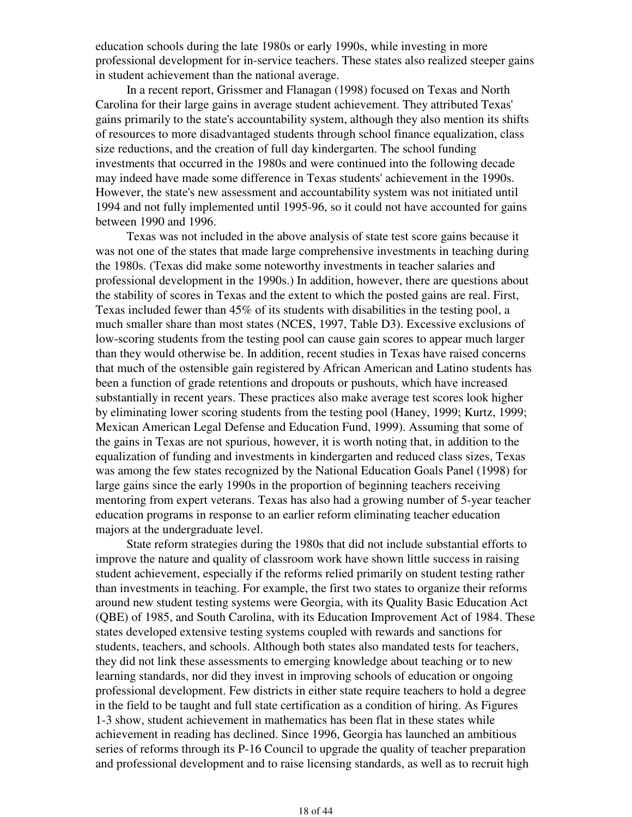education schools during the late 1980s or early 1990s, while investing in more professional development for in-service teachers. These states also realized steeper gains in student achievement than the national average.

 In a recent report, Grissmer and Flanagan (1998) focused on Texas and North Carolina for their large gains in average student achievement. They attributed Texas' gains primarily to the state's accountability system, although they also mention its shifts of resources to more disadvantaged students through school finance equalization, class size reductions, and the creation of full day kindergarten. The school funding investments that occurred in the 1980s and were continued into the following decade may indeed have made some difference in Texas students' achievement in the 1990s. However, the state's new assessment and accountability system was not initiated until 1994 and not fully implemented until 1995-96, so it could not have accounted for gains between 1990 and 1996.

 Texas was not included in the above analysis of state test score gains because it was not one of the states that made large comprehensive investments in teaching during the 1980s. (Texas did make some noteworthy investments in teacher salaries and professional development in the 1990s.) In addition, however, there are questions about the stability of scores in Texas and the extent to which the posted gains are real. First, Texas included fewer than 45% of its students with disabilities in the testing pool, a much smaller share than most states (NCES, 1997, Table D3). Excessive exclusions of low-scoring students from the testing pool can cause gain scores to appear much larger than they would otherwise be. In addition, recent studies in Texas have raised concerns that much of the ostensible gain registered by African American and Latino students has been a function of grade retentions and dropouts or pushouts, which have increased substantially in recent years. These practices also make average test scores look higher by eliminating lower scoring students from the testing pool (Haney, 1999; Kurtz, 1999; Mexican American Legal Defense and Education Fund, 1999). Assuming that some of the gains in Texas are not spurious, however, it is worth noting that, in addition to the equalization of funding and investments in kindergarten and reduced class sizes, Texas was among the few states recognized by the National Education Goals Panel (1998) for large gains since the early 1990s in the proportion of beginning teachers receiving mentoring from expert veterans. Texas has also had a growing number of 5-year teacher education programs in response to an earlier reform eliminating teacher education majors at the undergraduate level.

 State reform strategies during the 1980s that did not include substantial efforts to improve the nature and quality of classroom work have shown little success in raising student achievement, especially if the reforms relied primarily on student testing rather than investments in teaching. For example, the first two states to organize their reforms around new student testing systems were Georgia, with its Quality Basic Education Act (QBE) of 1985, and South Carolina, with its Education Improvement Act of 1984. These states developed extensive testing systems coupled with rewards and sanctions for students, teachers, and schools. Although both states also mandated tests for teachers, they did not link these assessments to emerging knowledge about teaching or to new learning standards, nor did they invest in improving schools of education or ongoing professional development. Few districts in either state require teachers to hold a degree in the field to be taught and full state certification as a condition of hiring. As Figures 1-3 show, student achievement in mathematics has been flat in these states while achievement in reading has declined. Since 1996, Georgia has launched an ambitious series of reforms through its P-16 Council to upgrade the quality of teacher preparation and professional development and to raise licensing standards, as well as to recruit high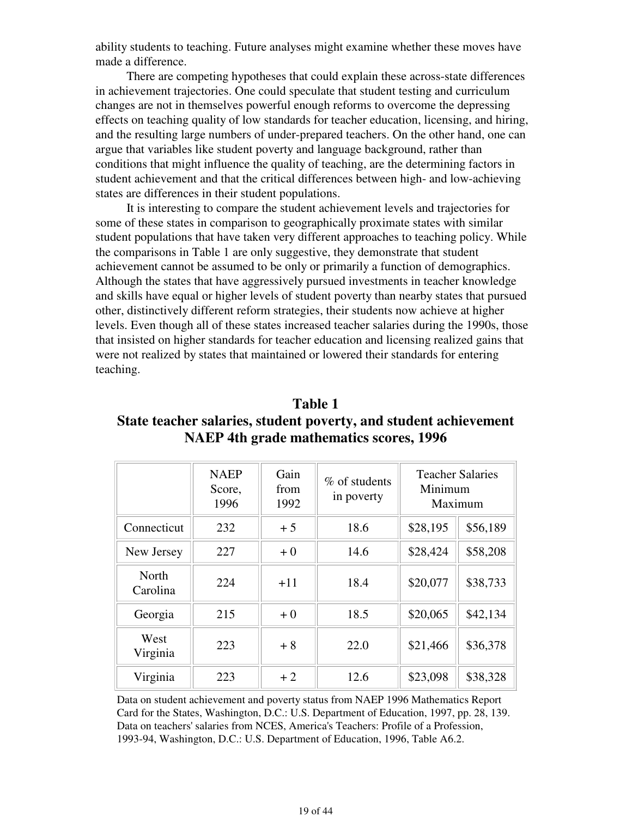ability students to teaching. Future analyses might examine whether these moves have made a difference.

 There are competing hypotheses that could explain these across-state differences in achievement trajectories. One could speculate that student testing and curriculum changes are not in themselves powerful enough reforms to overcome the depressing effects on teaching quality of low standards for teacher education, licensing, and hiring, and the resulting large numbers of under-prepared teachers. On the other hand, one can argue that variables like student poverty and language background, rather than conditions that might influence the quality of teaching, are the determining factors in student achievement and that the critical differences between high- and low-achieving states are differences in their student populations.

 It is interesting to compare the student achievement levels and trajectories for some of these states in comparison to geographically proximate states with similar student populations that have taken very different approaches to teaching policy. While the comparisons in Table 1 are only suggestive, they demonstrate that student achievement cannot be assumed to be only or primarily a function of demographics. Although the states that have aggressively pursued investments in teacher knowledge and skills have equal or higher levels of student poverty than nearby states that pursued other, distinctively different reform strategies, their students now achieve at higher levels. Even though all of these states increased teacher salaries during the 1990s, those that insisted on higher standards for teacher education and licensing realized gains that were not realized by states that maintained or lowered their standards for entering teaching.

# **Table 1 State teacher salaries, student poverty, and student achievement NAEP 4th grade mathematics scores, 1996**

|                   | <b>NAEP</b><br>Score,<br>1996 | Gain<br>from<br>1992 | % of students<br>in poverty | Minimum  | <b>Teacher Salaries</b><br>Maximum |
|-------------------|-------------------------------|----------------------|-----------------------------|----------|------------------------------------|
| Connecticut       | 232                           | $+5$                 | 18.6                        | \$28,195 | \$56,189                           |
| New Jersey        | 227                           | $+0$                 | 14.6                        | \$28,424 | \$58,208                           |
| North<br>Carolina | 224                           | $+11$                | 18.4                        | \$20,077 | \$38,733                           |
| Georgia           | 215                           | $+0$                 | 18.5                        | \$20,065 | \$42,134                           |
| West<br>Virginia  | 223                           | $+8$                 | 22.0                        | \$21,466 | \$36,378                           |
| Virginia          | 223                           | $+2$                 | 12.6                        | \$23,098 | \$38,328                           |

Data on student achievement and poverty status from NAEP 1996 Mathematics Report Card for the States, Washington, D.C.: U.S. Department of Education, 1997, pp. 28, 139. Data on teachers' salaries from NCES, America's Teachers: Profile of a Profession, 1993-94, Washington, D.C.: U.S. Department of Education, 1996, Table A6.2.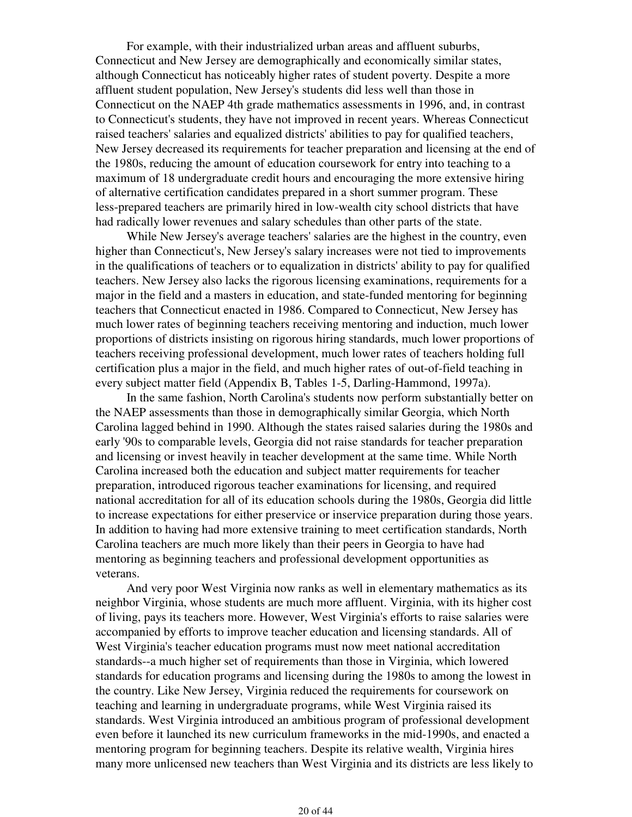For example, with their industrialized urban areas and affluent suburbs, Connecticut and New Jersey are demographically and economically similar states, although Connecticut has noticeably higher rates of student poverty. Despite a more affluent student population, New Jersey's students did less well than those in Connecticut on the NAEP 4th grade mathematics assessments in 1996, and, in contrast to Connecticut's students, they have not improved in recent years. Whereas Connecticut raised teachers' salaries and equalized districts' abilities to pay for qualified teachers, New Jersey decreased its requirements for teacher preparation and licensing at the end of the 1980s, reducing the amount of education coursework for entry into teaching to a maximum of 18 undergraduate credit hours and encouraging the more extensive hiring of alternative certification candidates prepared in a short summer program. These less-prepared teachers are primarily hired in low-wealth city school districts that have had radically lower revenues and salary schedules than other parts of the state.

 While New Jersey's average teachers' salaries are the highest in the country, even higher than Connecticut's, New Jersey's salary increases were not tied to improvements in the qualifications of teachers or to equalization in districts' ability to pay for qualified teachers. New Jersey also lacks the rigorous licensing examinations, requirements for a major in the field and a masters in education, and state-funded mentoring for beginning teachers that Connecticut enacted in 1986. Compared to Connecticut, New Jersey has much lower rates of beginning teachers receiving mentoring and induction, much lower proportions of districts insisting on rigorous hiring standards, much lower proportions of teachers receiving professional development, much lower rates of teachers holding full certification plus a major in the field, and much higher rates of out-of-field teaching in every subject matter field (Appendix B, Tables 1-5, Darling-Hammond, 1997a).

 In the same fashion, North Carolina's students now perform substantially better on the NAEP assessments than those in demographically similar Georgia, which North Carolina lagged behind in 1990. Although the states raised salaries during the 1980s and early '90s to comparable levels, Georgia did not raise standards for teacher preparation and licensing or invest heavily in teacher development at the same time. While North Carolina increased both the education and subject matter requirements for teacher preparation, introduced rigorous teacher examinations for licensing, and required national accreditation for all of its education schools during the 1980s, Georgia did little to increase expectations for either preservice or inservice preparation during those years. In addition to having had more extensive training to meet certification standards, North Carolina teachers are much more likely than their peers in Georgia to have had mentoring as beginning teachers and professional development opportunities as veterans.

 And very poor West Virginia now ranks as well in elementary mathematics as its neighbor Virginia, whose students are much more affluent. Virginia, with its higher cost of living, pays its teachers more. However, West Virginia's efforts to raise salaries were accompanied by efforts to improve teacher education and licensing standards. All of West Virginia's teacher education programs must now meet national accreditation standards--a much higher set of requirements than those in Virginia, which lowered standards for education programs and licensing during the 1980s to among the lowest in the country. Like New Jersey, Virginia reduced the requirements for coursework on teaching and learning in undergraduate programs, while West Virginia raised its standards. West Virginia introduced an ambitious program of professional development even before it launched its new curriculum frameworks in the mid-1990s, and enacted a mentoring program for beginning teachers. Despite its relative wealth, Virginia hires many more unlicensed new teachers than West Virginia and its districts are less likely to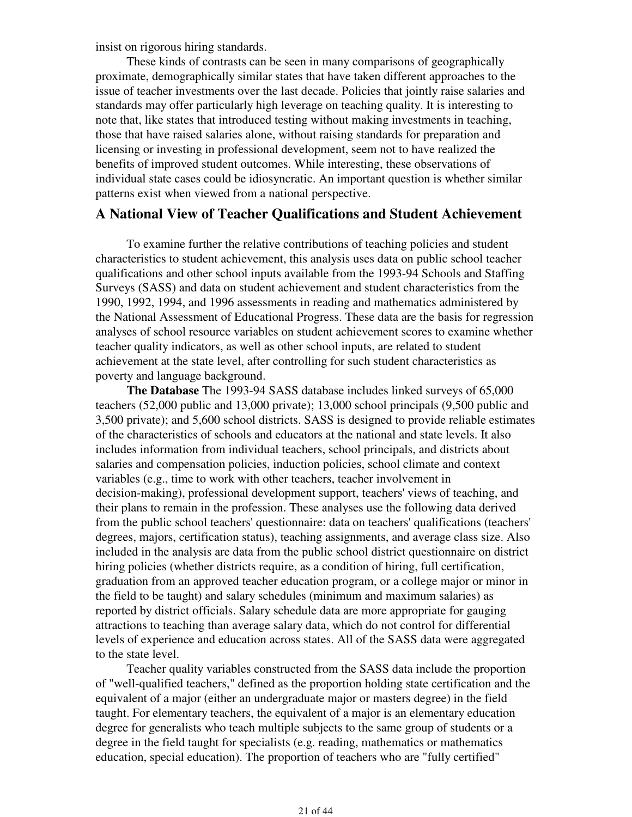insist on rigorous hiring standards.

 These kinds of contrasts can be seen in many comparisons of geographically proximate, demographically similar states that have taken different approaches to the issue of teacher investments over the last decade. Policies that jointly raise salaries and standards may offer particularly high leverage on teaching quality. It is interesting to note that, like states that introduced testing without making investments in teaching, those that have raised salaries alone, without raising standards for preparation and licensing or investing in professional development, seem not to have realized the benefits of improved student outcomes. While interesting, these observations of individual state cases could be idiosyncratic. An important question is whether similar patterns exist when viewed from a national perspective.

### **A National View of Teacher Qualifications and Student Achievement**

 To examine further the relative contributions of teaching policies and student characteristics to student achievement, this analysis uses data on public school teacher qualifications and other school inputs available from the 1993-94 Schools and Staffing Surveys (SASS) and data on student achievement and student characteristics from the 1990, 1992, 1994, and 1996 assessments in reading and mathematics administered by the National Assessment of Educational Progress. These data are the basis for regression analyses of school resource variables on student achievement scores to examine whether teacher quality indicators, as well as other school inputs, are related to student achievement at the state level, after controlling for such student characteristics as poverty and language background.

 **The Database** The 1993-94 SASS database includes linked surveys of 65,000 teachers (52,000 public and 13,000 private); 13,000 school principals (9,500 public and 3,500 private); and 5,600 school districts. SASS is designed to provide reliable estimates of the characteristics of schools and educators at the national and state levels. It also includes information from individual teachers, school principals, and districts about salaries and compensation policies, induction policies, school climate and context variables (e.g., time to work with other teachers, teacher involvement in decision-making), professional development support, teachers' views of teaching, and their plans to remain in the profession. These analyses use the following data derived from the public school teachers' questionnaire: data on teachers' qualifications (teachers' degrees, majors, certification status), teaching assignments, and average class size. Also included in the analysis are data from the public school district questionnaire on district hiring policies (whether districts require, as a condition of hiring, full certification, graduation from an approved teacher education program, or a college major or minor in the field to be taught) and salary schedules (minimum and maximum salaries) as reported by district officials. Salary schedule data are more appropriate for gauging attractions to teaching than average salary data, which do not control for differential levels of experience and education across states. All of the SASS data were aggregated to the state level.

 Teacher quality variables constructed from the SASS data include the proportion of "well-qualified teachers," defined as the proportion holding state certification and the equivalent of a major (either an undergraduate major or masters degree) in the field taught. For elementary teachers, the equivalent of a major is an elementary education degree for generalists who teach multiple subjects to the same group of students or a degree in the field taught for specialists (e.g. reading, mathematics or mathematics education, special education). The proportion of teachers who are "fully certified"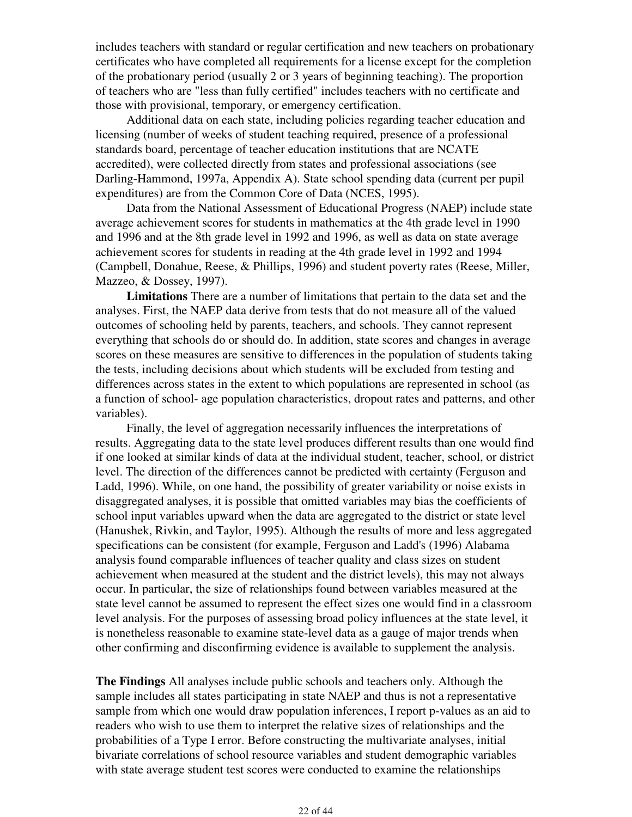includes teachers with standard or regular certification and new teachers on probationary certificates who have completed all requirements for a license except for the completion of the probationary period (usually 2 or 3 years of beginning teaching). The proportion of teachers who are "less than fully certified" includes teachers with no certificate and those with provisional, temporary, or emergency certification.

 Additional data on each state, including policies regarding teacher education and licensing (number of weeks of student teaching required, presence of a professional standards board, percentage of teacher education institutions that are NCATE accredited), were collected directly from states and professional associations (see Darling-Hammond, 1997a, Appendix A). State school spending data (current per pupil expenditures) are from the Common Core of Data (NCES, 1995).

 Data from the National Assessment of Educational Progress (NAEP) include state average achievement scores for students in mathematics at the 4th grade level in 1990 and 1996 and at the 8th grade level in 1992 and 1996, as well as data on state average achievement scores for students in reading at the 4th grade level in 1992 and 1994 (Campbell, Donahue, Reese, & Phillips, 1996) and student poverty rates (Reese, Miller, Mazzeo, & Dossey, 1997).

 **Limitations** There are a number of limitations that pertain to the data set and the analyses. First, the NAEP data derive from tests that do not measure all of the valued outcomes of schooling held by parents, teachers, and schools. They cannot represent everything that schools do or should do. In addition, state scores and changes in average scores on these measures are sensitive to differences in the population of students taking the tests, including decisions about which students will be excluded from testing and differences across states in the extent to which populations are represented in school (as a function of school- age population characteristics, dropout rates and patterns, and other variables).

 Finally, the level of aggregation necessarily influences the interpretations of results. Aggregating data to the state level produces different results than one would find if one looked at similar kinds of data at the individual student, teacher, school, or district level. The direction of the differences cannot be predicted with certainty (Ferguson and Ladd, 1996). While, on one hand, the possibility of greater variability or noise exists in disaggregated analyses, it is possible that omitted variables may bias the coefficients of school input variables upward when the data are aggregated to the district or state level (Hanushek, Rivkin, and Taylor, 1995). Although the results of more and less aggregated specifications can be consistent (for example, Ferguson and Ladd's (1996) Alabama analysis found comparable influences of teacher quality and class sizes on student achievement when measured at the student and the district levels), this may not always occur. In particular, the size of relationships found between variables measured at the state level cannot be assumed to represent the effect sizes one would find in a classroom level analysis. For the purposes of assessing broad policy influences at the state level, it is nonetheless reasonable to examine state-level data as a gauge of major trends when other confirming and disconfirming evidence is available to supplement the analysis.

**The Findings** All analyses include public schools and teachers only. Although the sample includes all states participating in state NAEP and thus is not a representative sample from which one would draw population inferences, I report p-values as an aid to readers who wish to use them to interpret the relative sizes of relationships and the probabilities of a Type I error. Before constructing the multivariate analyses, initial bivariate correlations of school resource variables and student demographic variables with state average student test scores were conducted to examine the relationships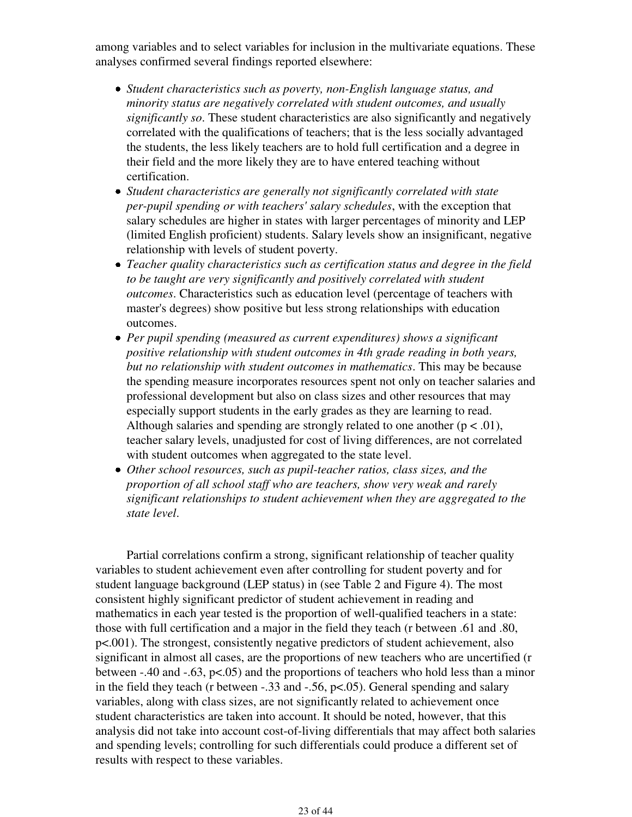among variables and to select variables for inclusion in the multivariate equations. These analyses confirmed several findings reported elsewhere:

- *Student characteristics such as poverty, non-English language status, and minority status are negatively correlated with student outcomes, and usually significantly so*. These student characteristics are also significantly and negatively correlated with the qualifications of teachers; that is the less socially advantaged the students, the less likely teachers are to hold full certification and a degree in their field and the more likely they are to have entered teaching without certification.
- *Student characteristics are generally not significantly correlated with state per-pupil spending or with teachers' salary schedules*, with the exception that salary schedules are higher in states with larger percentages of minority and LEP (limited English proficient) students. Salary levels show an insignificant, negative relationship with levels of student poverty.
- *Teacher quality characteristics such as certification status and degree in the field to be taught are very significantly and positively correlated with student outcomes*. Characteristics such as education level (percentage of teachers with master's degrees) show positive but less strong relationships with education outcomes.
- *Per pupil spending (measured as current expenditures) shows a significant positive relationship with student outcomes in 4th grade reading in both years, but no relationship with student outcomes in mathematics*. This may be because the spending measure incorporates resources spent not only on teacher salaries and professional development but also on class sizes and other resources that may especially support students in the early grades as they are learning to read. Although salaries and spending are strongly related to one another  $(p < .01)$ , teacher salary levels, unadjusted for cost of living differences, are not correlated with student outcomes when aggregated to the state level.
- *Other school resources, such as pupil-teacher ratios, class sizes, and the proportion of all school staff who are teachers, show very weak and rarely significant relationships to student achievement when they are aggregated to the state level*.

 Partial correlations confirm a strong, significant relationship of teacher quality variables to student achievement even after controlling for student poverty and for student language background (LEP status) in (see Table 2 and Figure 4). The most consistent highly significant predictor of student achievement in reading and mathematics in each year tested is the proportion of well-qualified teachers in a state: those with full certification and a major in the field they teach (r between .61 and .80, p<.001). The strongest, consistently negative predictors of student achievement, also significant in almost all cases, are the proportions of new teachers who are uncertified (r between  $-.40$  and  $-.63$ ,  $p<.05$ ) and the proportions of teachers who hold less than a minor in the field they teach (r between -.33 and -.56, p<.05). General spending and salary variables, along with class sizes, are not significantly related to achievement once student characteristics are taken into account. It should be noted, however, that this analysis did not take into account cost-of-living differentials that may affect both salaries and spending levels; controlling for such differentials could produce a different set of results with respect to these variables.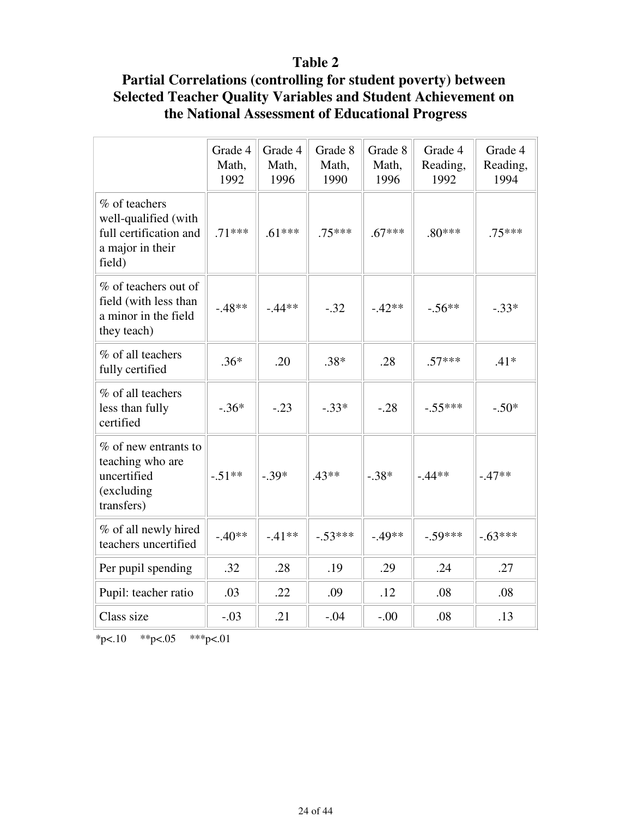# **Table 2**

# **Partial Correlations (controlling for student poverty) between Selected Teacher Quality Variables and Student Achievement on the National Assessment of Educational Progress**

|                                                                                               | Grade 4<br>Math,<br>1992 | Grade 4<br>Math,<br>1996 | Grade 8<br>Math,<br>1990 | Grade 8<br>Math,<br>1996 | Grade 4<br>Reading,<br>1992 | Grade 4<br>Reading,<br>1994 |
|-----------------------------------------------------------------------------------------------|--------------------------|--------------------------|--------------------------|--------------------------|-----------------------------|-----------------------------|
| % of teachers<br>well-qualified (with<br>full certification and<br>a major in their<br>field) | $.71***$                 | $.61***$                 | $.75***$                 | $.67***$                 | $.80***$                    | $.75***$                    |
| % of teachers out of<br>field (with less than<br>a minor in the field<br>they teach)          | $-48**$                  | $-0.44**$                | $-.32$                   | $-42**$                  | $-.56**$                    | $-.33*$                     |
| % of all teachers<br>fully certified                                                          | $.36*$                   | .20                      | $.38*$                   | .28                      | $.57***$                    | $.41*$                      |
| % of all teachers<br>less than fully<br>certified                                             | $-.36*$                  | $-.23$                   | $-.33*$                  | $-.28$                   | $-.55***$                   | $-.50*$                     |
| % of new entrants to<br>teaching who are<br>uncertified<br>(excluding<br>transfers)           | $-.51**$                 | $-.39*$                  | $.43**$                  | $-.38*$                  | $-0.44**$                   | $-47**$                     |
| % of all newly hired<br>teachers uncertified                                                  | $-.40**$                 | $-41**$                  | $-.53***$                | $-.49**$                 | $-.59***$                   | $-63***$                    |
| Per pupil spending                                                                            | .32                      | .28                      | .19                      | .29                      | .24                         | .27                         |
| Pupil: teacher ratio                                                                          | .03                      | .22                      | .09                      | .12                      | .08                         | .08                         |
| Class size                                                                                    | $-.03$                   | .21                      | $-.04$                   | $-.00$                   | .08                         | .13                         |

 $*p<.10$   $*p<.05$   $**p<.01$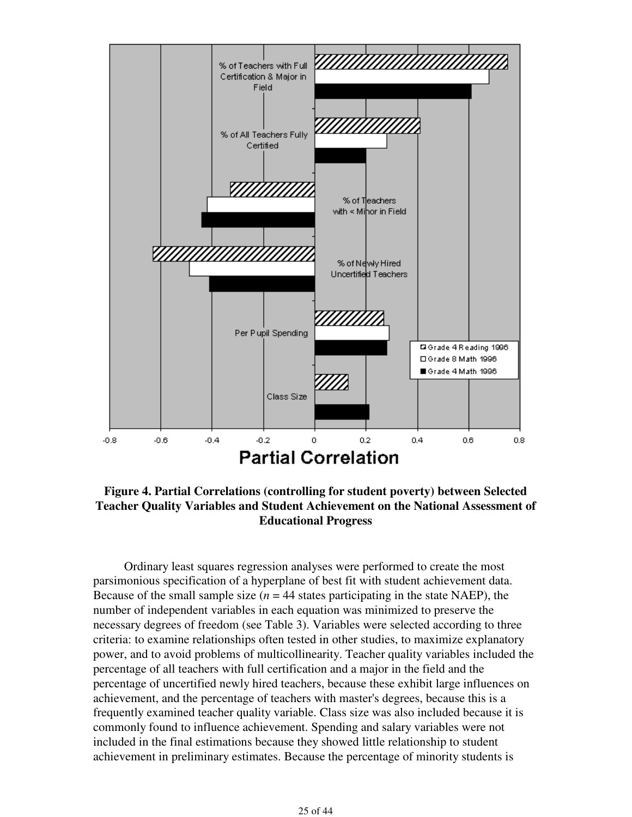

**Figure 4. Partial Correlations (controlling for student poverty) between Selected Teacher Quality Variables and Student Achievement on the National Assessment of Educational Progress** 

 Ordinary least squares regression analyses were performed to create the most parsimonious specification of a hyperplane of best fit with student achievement data. Because of the small sample size  $(n = 44$  states participating in the state NAEP), the number of independent variables in each equation was minimized to preserve the necessary degrees of freedom (see Table 3). Variables were selected according to three criteria: to examine relationships often tested in other studies, to maximize explanatory power, and to avoid problems of multicollinearity. Teacher quality variables included the percentage of all teachers with full certification and a major in the field and the percentage of uncertified newly hired teachers, because these exhibit large influences on achievement, and the percentage of teachers with master's degrees, because this is a frequently examined teacher quality variable. Class size was also included because it is commonly found to influence achievement. Spending and salary variables were not included in the final estimations because they showed little relationship to student achievement in preliminary estimates. Because the percentage of minority students is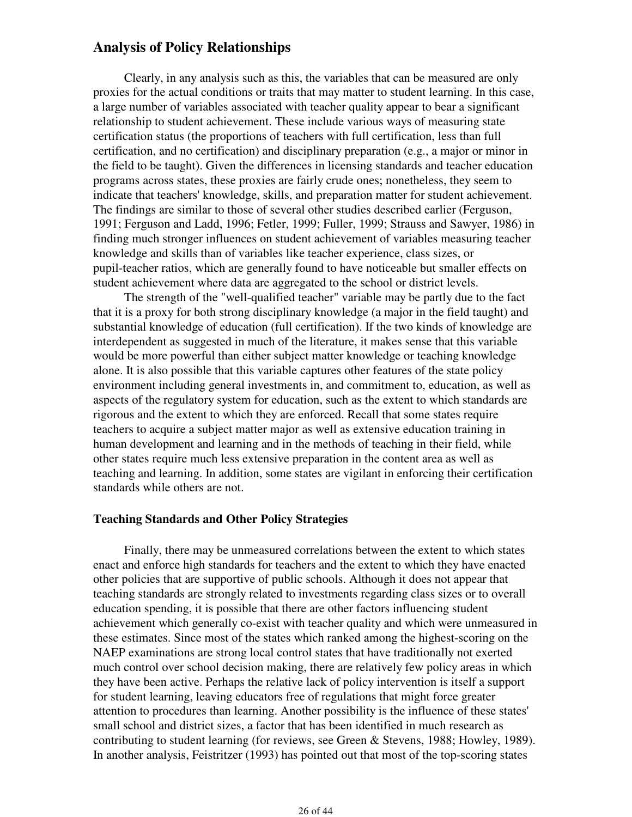### **Analysis of Policy Relationships**

 Clearly, in any analysis such as this, the variables that can be measured are only proxies for the actual conditions or traits that may matter to student learning. In this case, a large number of variables associated with teacher quality appear to bear a significant relationship to student achievement. These include various ways of measuring state certification status (the proportions of teachers with full certification, less than full certification, and no certification) and disciplinary preparation (e.g., a major or minor in the field to be taught). Given the differences in licensing standards and teacher education programs across states, these proxies are fairly crude ones; nonetheless, they seem to indicate that teachers' knowledge, skills, and preparation matter for student achievement. The findings are similar to those of several other studies described earlier (Ferguson, 1991; Ferguson and Ladd, 1996; Fetler, 1999; Fuller, 1999; Strauss and Sawyer, 1986) in finding much stronger influences on student achievement of variables measuring teacher knowledge and skills than of variables like teacher experience, class sizes, or pupil-teacher ratios, which are generally found to have noticeable but smaller effects on student achievement where data are aggregated to the school or district levels.

 The strength of the "well-qualified teacher" variable may be partly due to the fact that it is a proxy for both strong disciplinary knowledge (a major in the field taught) and substantial knowledge of education (full certification). If the two kinds of knowledge are interdependent as suggested in much of the literature, it makes sense that this variable would be more powerful than either subject matter knowledge or teaching knowledge alone. It is also possible that this variable captures other features of the state policy environment including general investments in, and commitment to, education, as well as aspects of the regulatory system for education, such as the extent to which standards are rigorous and the extent to which they are enforced. Recall that some states require teachers to acquire a subject matter major as well as extensive education training in human development and learning and in the methods of teaching in their field, while other states require much less extensive preparation in the content area as well as teaching and learning. In addition, some states are vigilant in enforcing their certification standards while others are not.

### **Teaching Standards and Other Policy Strategies**

 Finally, there may be unmeasured correlations between the extent to which states enact and enforce high standards for teachers and the extent to which they have enacted other policies that are supportive of public schools. Although it does not appear that teaching standards are strongly related to investments regarding class sizes or to overall education spending, it is possible that there are other factors influencing student achievement which generally co-exist with teacher quality and which were unmeasured in these estimates. Since most of the states which ranked among the highest-scoring on the NAEP examinations are strong local control states that have traditionally not exerted much control over school decision making, there are relatively few policy areas in which they have been active. Perhaps the relative lack of policy intervention is itself a support for student learning, leaving educators free of regulations that might force greater attention to procedures than learning. Another possibility is the influence of these states' small school and district sizes, a factor that has been identified in much research as contributing to student learning (for reviews, see Green & Stevens, 1988; Howley, 1989). In another analysis, Feistritzer (1993) has pointed out that most of the top-scoring states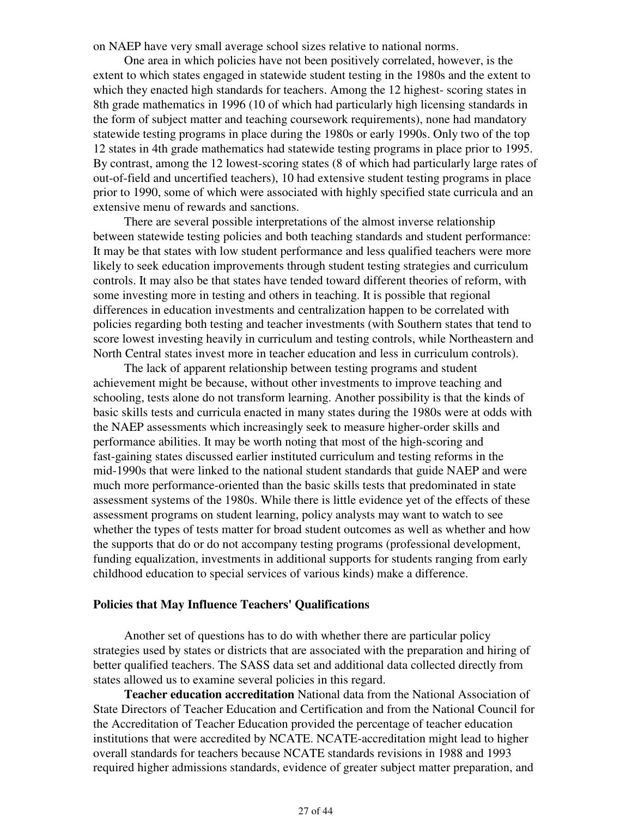on NAEP have very small average school sizes relative to national norms.

 One area in which policies have not been positively correlated, however, is the extent to which states engaged in statewide student testing in the 1980s and the extent to which they enacted high standards for teachers. Among the 12 highest- scoring states in 8th grade mathematics in 1996 (10 of which had particularly high licensing standards in the form of subject matter and teaching coursework requirements), none had mandatory statewide testing programs in place during the 1980s or early 1990s. Only two of the top 12 states in 4th grade mathematics had statewide testing programs in place prior to 1995. By contrast, among the 12 lowest-scoring states (8 of which had particularly large rates of out-of-field and uncertified teachers), 10 had extensive student testing programs in place prior to 1990, some of which were associated with highly specified state curricula and an extensive menu of rewards and sanctions.

 There are several possible interpretations of the almost inverse relationship between statewide testing policies and both teaching standards and student performance: It may be that states with low student performance and less qualified teachers were more likely to seek education improvements through student testing strategies and curriculum controls. It may also be that states have tended toward different theories of reform, with some investing more in testing and others in teaching. It is possible that regional differences in education investments and centralization happen to be correlated with policies regarding both testing and teacher investments (with Southern states that tend to score lowest investing heavily in curriculum and testing controls, while Northeastern and North Central states invest more in teacher education and less in curriculum controls).

 The lack of apparent relationship between testing programs and student achievement might be because, without other investments to improve teaching and schooling, tests alone do not transform learning. Another possibility is that the kinds of basic skills tests and curricula enacted in many states during the 1980s were at odds with the NAEP assessments which increasingly seek to measure higher-order skills and performance abilities. It may be worth noting that most of the high-scoring and fast-gaining states discussed earlier instituted curriculum and testing reforms in the mid-1990s that were linked to the national student standards that guide NAEP and were much more performance-oriented than the basic skills tests that predominated in state assessment systems of the 1980s. While there is little evidence yet of the effects of these assessment programs on student learning, policy analysts may want to watch to see whether the types of tests matter for broad student outcomes as well as whether and how the supports that do or do not accompany testing programs (professional development, funding equalization, investments in additional supports for students ranging from early childhood education to special services of various kinds) make a difference.

#### **Policies that May Influence Teachers' Qualifications**

 Another set of questions has to do with whether there are particular policy strategies used by states or districts that are associated with the preparation and hiring of better qualified teachers. The SASS data set and additional data collected directly from states allowed us to examine several policies in this regard.

 **Teacher education accreditation** National data from the National Association of State Directors of Teacher Education and Certification and from the National Council for the Accreditation of Teacher Education provided the percentage of teacher education institutions that were accredited by NCATE. NCATE-accreditation might lead to higher overall standards for teachers because NCATE standards revisions in 1988 and 1993 required higher admissions standards, evidence of greater subject matter preparation, and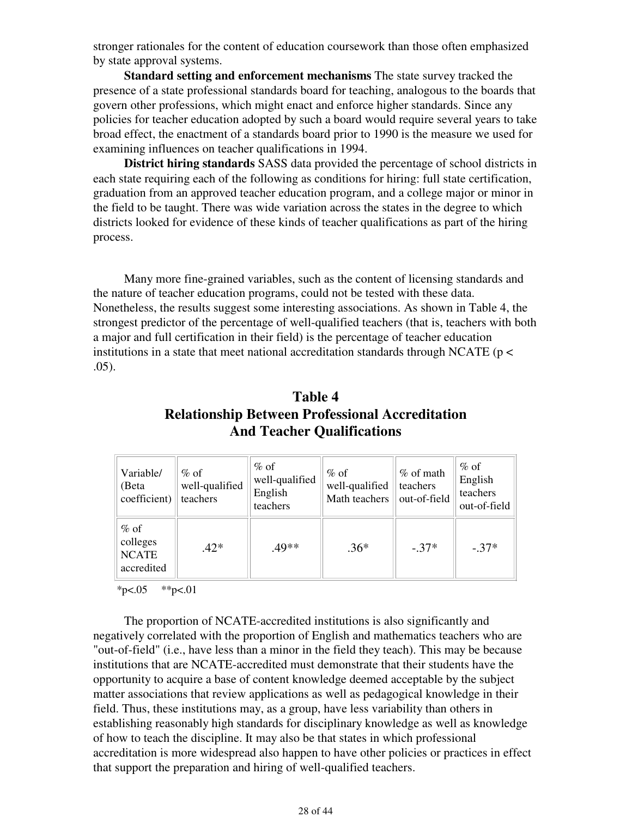stronger rationales for the content of education coursework than those often emphasized by state approval systems.

 **Standard setting and enforcement mechanisms** The state survey tracked the presence of a state professional standards board for teaching, analogous to the boards that govern other professions, which might enact and enforce higher standards. Since any policies for teacher education adopted by such a board would require several years to take broad effect, the enactment of a standards board prior to 1990 is the measure we used for examining influences on teacher qualifications in 1994.

 **District hiring standards** SASS data provided the percentage of school districts in each state requiring each of the following as conditions for hiring: full state certification, graduation from an approved teacher education program, and a college major or minor in the field to be taught. There was wide variation across the states in the degree to which districts looked for evidence of these kinds of teacher qualifications as part of the hiring process.

 Many more fine-grained variables, such as the content of licensing standards and the nature of teacher education programs, could not be tested with these data. Nonetheless, the results suggest some interesting associations. As shown in Table 4, the strongest predictor of the percentage of well-qualified teachers (that is, teachers with both a major and full certification in their field) is the percentage of teacher education institutions in a state that meet national accreditation standards through NCATE ( $p <$ .05).

| Table 4                                                |
|--------------------------------------------------------|
| <b>Relationship Between Professional Accreditation</b> |
| <b>And Teacher Qualifications</b>                      |

| Variable/<br>(Beta<br>coefficient)               | $%$ of<br>well-qualified<br>teachers | $%$ of<br>well-qualified<br>English<br>teachers | $%$ of<br>well-qualified<br>Math teachers | % of math<br>teachers<br>out-of-field | $%$ of<br>English<br>teachers<br>out-of-field |
|--------------------------------------------------|--------------------------------------|-------------------------------------------------|-------------------------------------------|---------------------------------------|-----------------------------------------------|
| $%$ of<br>colleges<br><b>NCATE</b><br>accredited | $.42*$                               | .49**                                           | $.36*$                                    | $-37*$                                | $-37*$                                        |

 $*p<.05$   $*p<.01$ 

 The proportion of NCATE-accredited institutions is also significantly and negatively correlated with the proportion of English and mathematics teachers who are "out-of-field" (i.e., have less than a minor in the field they teach). This may be because institutions that are NCATE-accredited must demonstrate that their students have the opportunity to acquire a base of content knowledge deemed acceptable by the subject matter associations that review applications as well as pedagogical knowledge in their field. Thus, these institutions may, as a group, have less variability than others in establishing reasonably high standards for disciplinary knowledge as well as knowledge of how to teach the discipline. It may also be that states in which professional accreditation is more widespread also happen to have other policies or practices in effect that support the preparation and hiring of well-qualified teachers.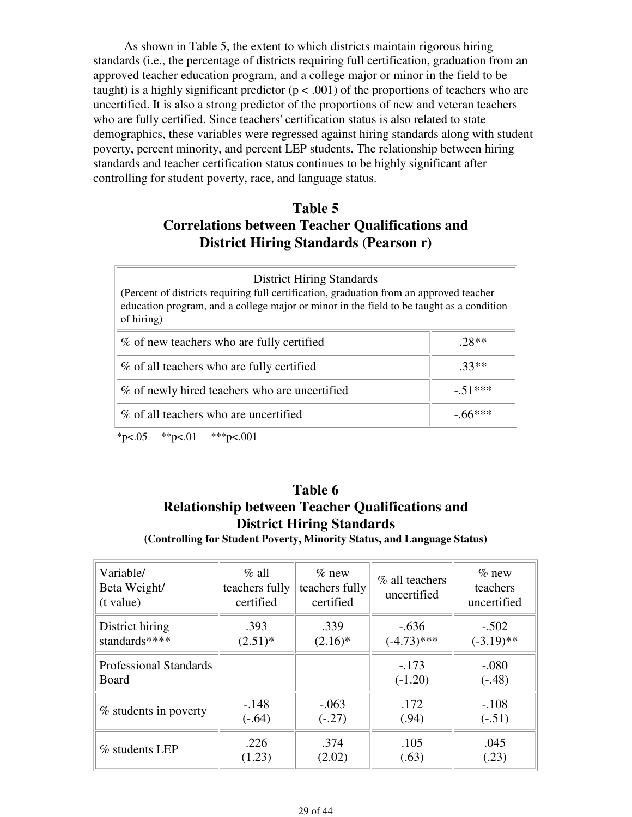As shown in Table 5, the extent to which districts maintain rigorous hiring standards (i.e., the percentage of districts requiring full certification, graduation from an approved teacher education program, and a college major or minor in the field to be taught) is a highly significant predictor ( $p < .001$ ) of the proportions of teachers who are uncertified. It is also a strong predictor of the proportions of new and veteran teachers who are fully certified. Since teachers' certification status is also related to state demographics, these variables were regressed against hiring standards along with student poverty, percent minority, and percent LEP students. The relationship between hiring standards and teacher certification status continues to be highly significant after controlling for student poverty, race, and language status.

# **Table 5 Correlations between Teacher Qualifications and District Hiring Standards (Pearson r)**

| <b>District Hiring Standards</b><br>(Percent of districts requiring full certification, graduation from an approved teacher<br>education program, and a college major or minor in the field to be taught as a condition<br>of hiring) |  |  |
|---------------------------------------------------------------------------------------------------------------------------------------------------------------------------------------------------------------------------------------|--|--|
| % of new teachers who are fully certified<br>$28**$                                                                                                                                                                                   |  |  |
| % of all teachers who are fully certified<br>$.33**$                                                                                                                                                                                  |  |  |
| % of newly hired teachers who are uncertified<br>$-51***$                                                                                                                                                                             |  |  |
| % of all teachers who are uncertified<br>$-0.6$ ***                                                                                                                                                                                   |  |  |

 $*p<.05$   $*p<.01$   $**p<.001$ 

# **Table 6 Relationship between Teacher Qualifications and District Hiring Standards**

**(Controlling for Student Poverty, Minority Status, and Language Status)**

| Variable/<br>Beta Weight/<br>(t value) | $\%$ all<br>teachers fully<br>certified | $%$ new<br>teachers fully<br>certified | % all teachers<br>uncertified | $\%$ new<br>teachers<br>uncertified |
|----------------------------------------|-----------------------------------------|----------------------------------------|-------------------------------|-------------------------------------|
| District hiring                        | .393                                    | .339                                   | $-.636$                       | $-.502$                             |
| standards****                          | $(2.51)^*$                              | $(2.16)^*$                             | $(-4.73)$ ***                 | $(-3.19)$ **                        |
| <b>Professional Standards</b><br>Board |                                         |                                        | $-.173$<br>$(-1.20)$          | $-.080$<br>$(-.48)$                 |
| % students in poverty                  | $-.148$                                 | $-.063$                                | .172                          | $-.108$                             |
|                                        | $(-.64)$                                | $(-.27)$                               | (.94)                         | $(-.51)$                            |
| % students LEP                         | .226                                    | .374                                   | .105                          | .045                                |
|                                        | (1.23)                                  | (2.02)                                 | (.63)                         | (.23)                               |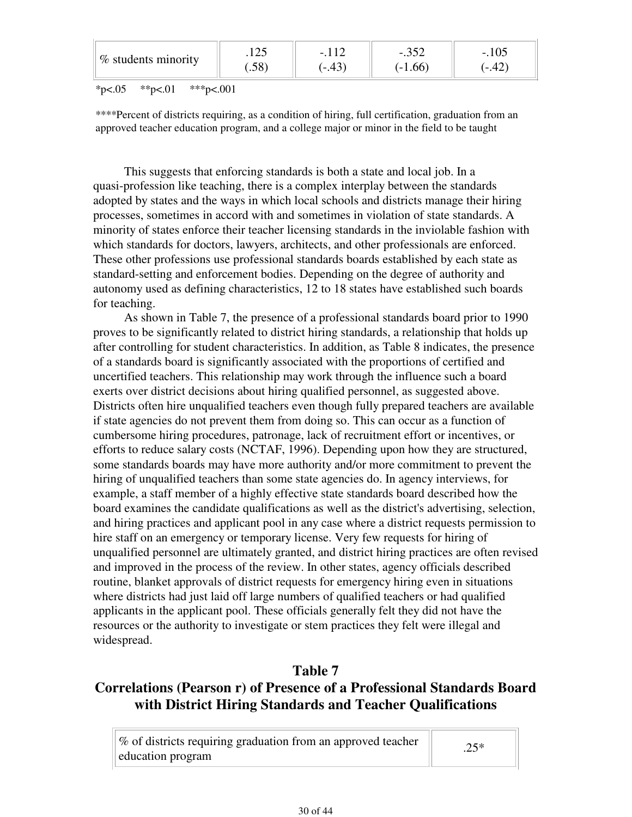| $\frac{1}{2}$ students minority | $\cap$<br>ر، 12<br>$.58^\circ$ | $-431$ | n rn<br>$-.332$<br>$(-1.66)$ | -. I U.J<br>.42)<br>$\overline{\phantom{0}}$ |  |
|---------------------------------|--------------------------------|--------|------------------------------|----------------------------------------------|--|
|---------------------------------|--------------------------------|--------|------------------------------|----------------------------------------------|--|

 $*p<.05$   $*p<.01$   $**p<.001$ 

\*\*\*\*Percent of districts requiring, as a condition of hiring, full certification, graduation from an approved teacher education program, and a college major or minor in the field to be taught

 This suggests that enforcing standards is both a state and local job. In a quasi-profession like teaching, there is a complex interplay between the standards adopted by states and the ways in which local schools and districts manage their hiring processes, sometimes in accord with and sometimes in violation of state standards. A minority of states enforce their teacher licensing standards in the inviolable fashion with which standards for doctors, lawyers, architects, and other professionals are enforced. These other professions use professional standards boards established by each state as standard-setting and enforcement bodies. Depending on the degree of authority and autonomy used as defining characteristics, 12 to 18 states have established such boards for teaching.

 As shown in Table 7, the presence of a professional standards board prior to 1990 proves to be significantly related to district hiring standards, a relationship that holds up after controlling for student characteristics. In addition, as Table 8 indicates, the presence of a standards board is significantly associated with the proportions of certified and uncertified teachers. This relationship may work through the influence such a board exerts over district decisions about hiring qualified personnel, as suggested above. Districts often hire unqualified teachers even though fully prepared teachers are available if state agencies do not prevent them from doing so. This can occur as a function of cumbersome hiring procedures, patronage, lack of recruitment effort or incentives, or efforts to reduce salary costs (NCTAF, 1996). Depending upon how they are structured, some standards boards may have more authority and/or more commitment to prevent the hiring of unqualified teachers than some state agencies do. In agency interviews, for example, a staff member of a highly effective state standards board described how the board examines the candidate qualifications as well as the district's advertising, selection, and hiring practices and applicant pool in any case where a district requests permission to hire staff on an emergency or temporary license. Very few requests for hiring of unqualified personnel are ultimately granted, and district hiring practices are often revised and improved in the process of the review. In other states, agency officials described routine, blanket approvals of district requests for emergency hiring even in situations where districts had just laid off large numbers of qualified teachers or had qualified applicants in the applicant pool. These officials generally felt they did not have the resources or the authority to investigate or stem practices they felt were illegal and widespread.

## **Table 7**

# **Correlations (Pearson r) of Presence of a Professional Standards Board with District Hiring Standards and Teacher Qualifications**

| % of districts requiring graduation from an approved teacher | $.25*$ |
|--------------------------------------------------------------|--------|
| education program                                            |        |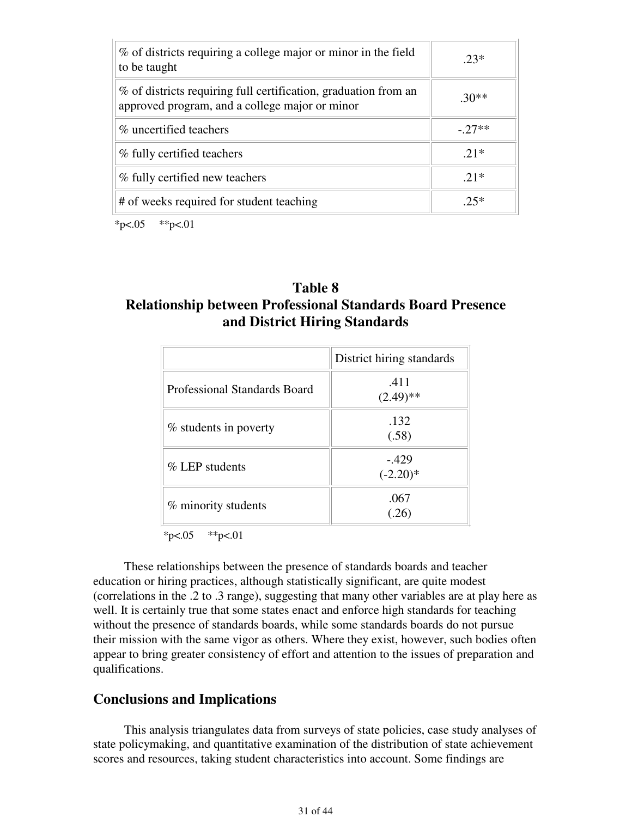| % of districts requiring a college major or minor in the field<br>to be taught                                    | $23*$   |
|-------------------------------------------------------------------------------------------------------------------|---------|
| % of districts requiring full certification, graduation from an<br>approved program, and a college major or minor | $.30**$ |
| % uncertified teachers                                                                                            | $-27**$ |
| % fully certified teachers                                                                                        | $21*$   |
| % fully certified new teachers                                                                                    | $21*$   |
| # of weeks required for student teaching                                                                          | $25*$   |

 $*p<.05$   $*p<.01$ 

# **Table 8 Relationship between Professional Standards Board Presence and District Hiring Standards**

|                              | District hiring standards |
|------------------------------|---------------------------|
| Professional Standards Board | .411<br>$(2.49)$ **       |
| % students in poverty        | .132<br>(.58)             |
| $\%$ LEP students            | $-429$<br>$(-2.20)$ *     |
| % minority students          | .067<br>(.26)             |

 $*p<.05$   $*p<.01$ 

 These relationships between the presence of standards boards and teacher education or hiring practices, although statistically significant, are quite modest (correlations in the .2 to .3 range), suggesting that many other variables are at play here as well. It is certainly true that some states enact and enforce high standards for teaching without the presence of standards boards, while some standards boards do not pursue their mission with the same vigor as others. Where they exist, however, such bodies often appear to bring greater consistency of effort and attention to the issues of preparation and qualifications.

### **Conclusions and Implications**

 This analysis triangulates data from surveys of state policies, case study analyses of state policymaking, and quantitative examination of the distribution of state achievement scores and resources, taking student characteristics into account. Some findings are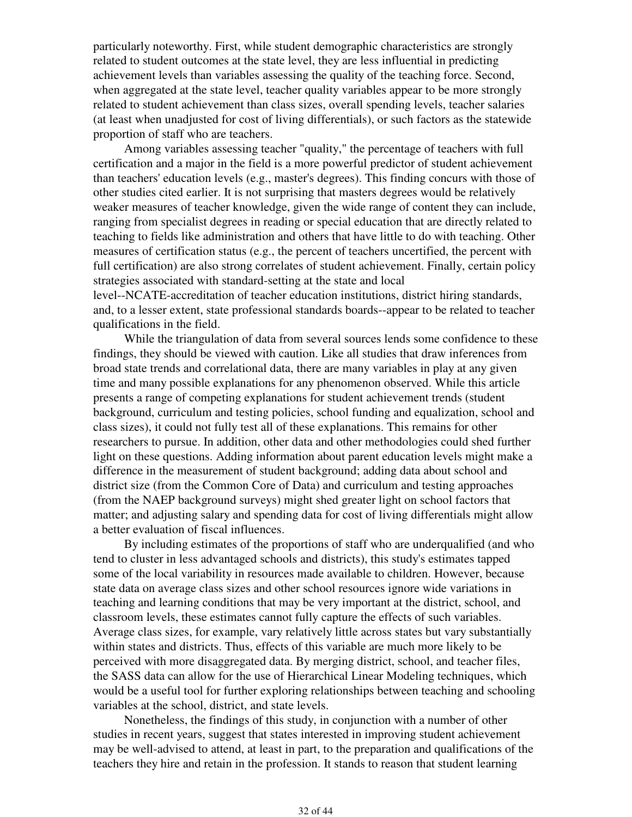particularly noteworthy. First, while student demographic characteristics are strongly related to student outcomes at the state level, they are less influential in predicting achievement levels than variables assessing the quality of the teaching force. Second, when aggregated at the state level, teacher quality variables appear to be more strongly related to student achievement than class sizes, overall spending levels, teacher salaries (at least when unadjusted for cost of living differentials), or such factors as the statewide proportion of staff who are teachers.

 Among variables assessing teacher "quality," the percentage of teachers with full certification and a major in the field is a more powerful predictor of student achievement than teachers' education levels (e.g., master's degrees). This finding concurs with those of other studies cited earlier. It is not surprising that masters degrees would be relatively weaker measures of teacher knowledge, given the wide range of content they can include, ranging from specialist degrees in reading or special education that are directly related to teaching to fields like administration and others that have little to do with teaching. Other measures of certification status (e.g., the percent of teachers uncertified, the percent with full certification) are also strong correlates of student achievement. Finally, certain policy strategies associated with standard-setting at the state and local level--NCATE-accreditation of teacher education institutions, district hiring standards,

and, to a lesser extent, state professional standards boards--appear to be related to teacher qualifications in the field.

 While the triangulation of data from several sources lends some confidence to these findings, they should be viewed with caution. Like all studies that draw inferences from broad state trends and correlational data, there are many variables in play at any given time and many possible explanations for any phenomenon observed. While this article presents a range of competing explanations for student achievement trends (student background, curriculum and testing policies, school funding and equalization, school and class sizes), it could not fully test all of these explanations. This remains for other researchers to pursue. In addition, other data and other methodologies could shed further light on these questions. Adding information about parent education levels might make a difference in the measurement of student background; adding data about school and district size (from the Common Core of Data) and curriculum and testing approaches (from the NAEP background surveys) might shed greater light on school factors that matter; and adjusting salary and spending data for cost of living differentials might allow a better evaluation of fiscal influences.

 By including estimates of the proportions of staff who are underqualified (and who tend to cluster in less advantaged schools and districts), this study's estimates tapped some of the local variability in resources made available to children. However, because state data on average class sizes and other school resources ignore wide variations in teaching and learning conditions that may be very important at the district, school, and classroom levels, these estimates cannot fully capture the effects of such variables. Average class sizes, for example, vary relatively little across states but vary substantially within states and districts. Thus, effects of this variable are much more likely to be perceived with more disaggregated data. By merging district, school, and teacher files, the SASS data can allow for the use of Hierarchical Linear Modeling techniques, which would be a useful tool for further exploring relationships between teaching and schooling variables at the school, district, and state levels.

 Nonetheless, the findings of this study, in conjunction with a number of other studies in recent years, suggest that states interested in improving student achievement may be well-advised to attend, at least in part, to the preparation and qualifications of the teachers they hire and retain in the profession. It stands to reason that student learning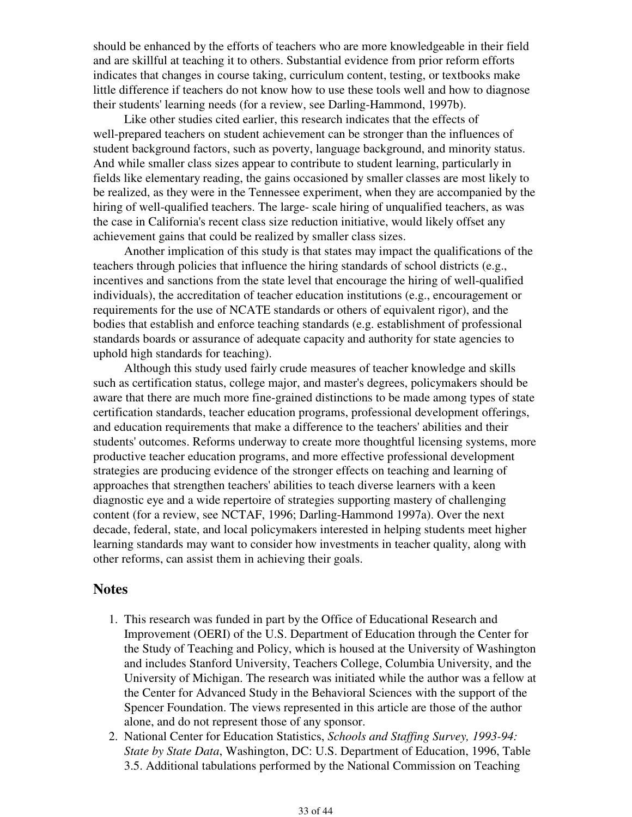should be enhanced by the efforts of teachers who are more knowledgeable in their field and are skillful at teaching it to others. Substantial evidence from prior reform efforts indicates that changes in course taking, curriculum content, testing, or textbooks make little difference if teachers do not know how to use these tools well and how to diagnose their students' learning needs (for a review, see Darling-Hammond, 1997b).

 Like other studies cited earlier, this research indicates that the effects of well-prepared teachers on student achievement can be stronger than the influences of student background factors, such as poverty, language background, and minority status. And while smaller class sizes appear to contribute to student learning, particularly in fields like elementary reading, the gains occasioned by smaller classes are most likely to be realized, as they were in the Tennessee experiment, when they are accompanied by the hiring of well-qualified teachers. The large- scale hiring of unqualified teachers, as was the case in California's recent class size reduction initiative, would likely offset any achievement gains that could be realized by smaller class sizes.

 Another implication of this study is that states may impact the qualifications of the teachers through policies that influence the hiring standards of school districts (e.g., incentives and sanctions from the state level that encourage the hiring of well-qualified individuals), the accreditation of teacher education institutions (e.g., encouragement or requirements for the use of NCATE standards or others of equivalent rigor), and the bodies that establish and enforce teaching standards (e.g. establishment of professional standards boards or assurance of adequate capacity and authority for state agencies to uphold high standards for teaching).

 Although this study used fairly crude measures of teacher knowledge and skills such as certification status, college major, and master's degrees, policymakers should be aware that there are much more fine-grained distinctions to be made among types of state certification standards, teacher education programs, professional development offerings, and education requirements that make a difference to the teachers' abilities and their students' outcomes. Reforms underway to create more thoughtful licensing systems, more productive teacher education programs, and more effective professional development strategies are producing evidence of the stronger effects on teaching and learning of approaches that strengthen teachers' abilities to teach diverse learners with a keen diagnostic eye and a wide repertoire of strategies supporting mastery of challenging content (for a review, see NCTAF, 1996; Darling-Hammond 1997a). Over the next decade, federal, state, and local policymakers interested in helping students meet higher learning standards may want to consider how investments in teacher quality, along with other reforms, can assist them in achieving their goals.

### **Notes**

- 1. This research was funded in part by the Office of Educational Research and Improvement (OERI) of the U.S. Department of Education through the Center for the Study of Teaching and Policy, which is housed at the University of Washington and includes Stanford University, Teachers College, Columbia University, and the University of Michigan. The research was initiated while the author was a fellow at the Center for Advanced Study in the Behavioral Sciences with the support of the Spencer Foundation. The views represented in this article are those of the author alone, and do not represent those of any sponsor.
- 2. National Center for Education Statistics, Schools and Staffing Survey, 1993-94: *State by State Data*, Washington, DC: U.S. Department of Education, 1996, Table 3.5. Additional tabulations performed by the National Commission on Teaching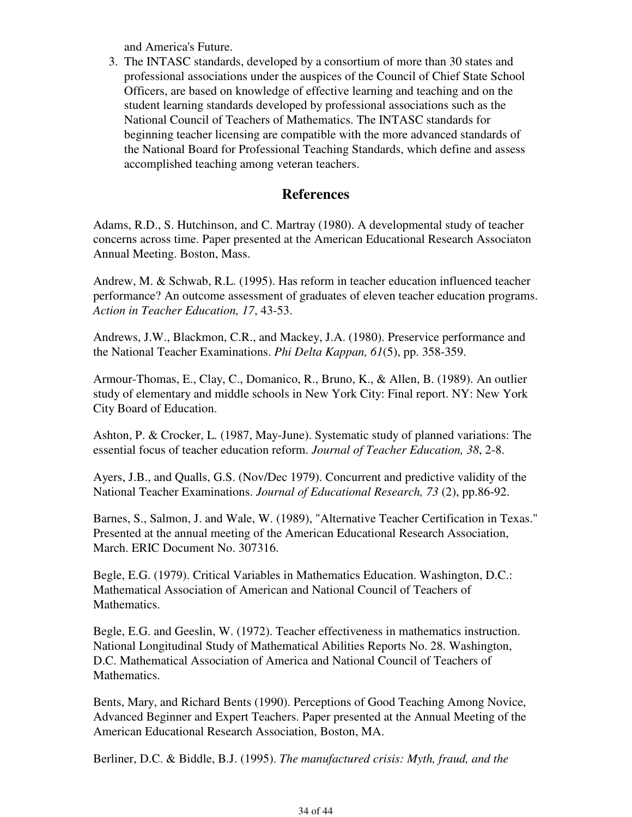and America's Future.

3. The INTASC standards, developed by a consortium of more than 30 states and professional associations under the auspices of the Council of Chief State School Officers, are based on knowledge of effective learning and teaching and on the student learning standards developed by professional associations such as the National Council of Teachers of Mathematics. The INTASC standards for beginning teacher licensing are compatible with the more advanced standards of the National Board for Professional Teaching Standards, which define and assess accomplished teaching among veteran teachers.

### **References**

Adams, R.D., S. Hutchinson, and C. Martray (1980). A developmental study of teacher concerns across time. Paper presented at the American Educational Research Associaton Annual Meeting. Boston, Mass.

Andrew, M. & Schwab, R.L. (1995). Has reform in teacher education influenced teacher performance? An outcome assessment of graduates of eleven teacher education programs. *Action in Teacher Education, 17*, 43-53.

Andrews, J.W., Blackmon, C.R., and Mackey, J.A. (1980). Preservice performance and the National Teacher Examinations. *Phi Delta Kappan, 61*(5), pp. 358-359.

Armour-Thomas, E., Clay, C., Domanico, R., Bruno, K., & Allen, B. (1989). An outlier study of elementary and middle schools in New York City: Final report. NY: New York City Board of Education.

Ashton, P. & Crocker, L. (1987, May-June). Systematic study of planned variations: The essential focus of teacher education reform. *Journal of Teacher Education, 38*, 2-8.

Ayers, J.B., and Qualls, G.S. (Nov/Dec 1979). Concurrent and predictive validity of the National Teacher Examinations. *Journal of Educational Research, 73* (2), pp.86-92.

Barnes, S., Salmon, J. and Wale, W. (1989), "Alternative Teacher Certification in Texas." Presented at the annual meeting of the American Educational Research Association, March. ERIC Document No. 307316.

Begle, E.G. (1979). Critical Variables in Mathematics Education. Washington, D.C.: Mathematical Association of American and National Council of Teachers of Mathematics.

Begle, E.G. and Geeslin, W. (1972). Teacher effectiveness in mathematics instruction. National Longitudinal Study of Mathematical Abilities Reports No. 28. Washington, D.C. Mathematical Association of America and National Council of Teachers of Mathematics.

Bents, Mary, and Richard Bents (1990). Perceptions of Good Teaching Among Novice, Advanced Beginner and Expert Teachers. Paper presented at the Annual Meeting of the American Educational Research Association, Boston, MA.

Berliner, D.C. & Biddle, B.J. (1995). *The manufactured crisis: Myth, fraud, and the*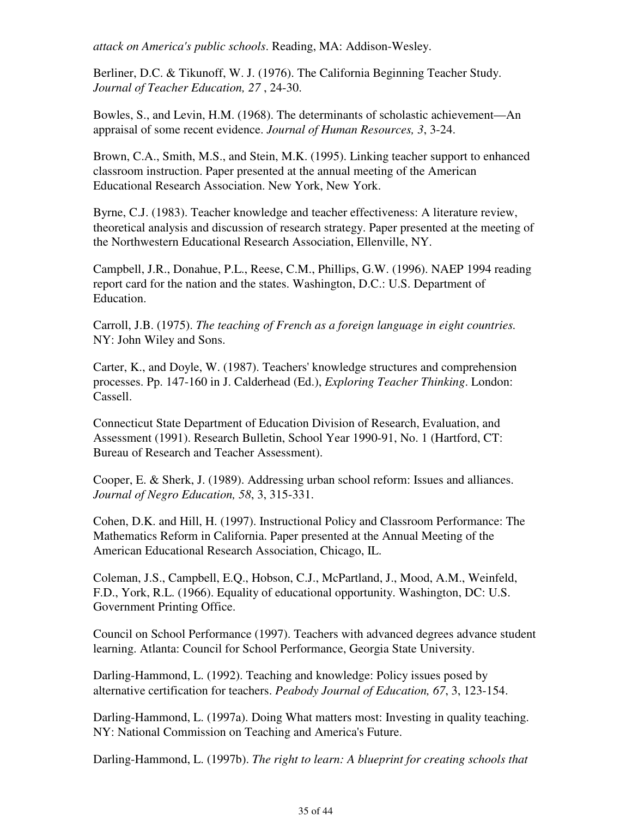*attack on America's public schools*. Reading, MA: Addison-Wesley.

Berliner, D.C. & Tikunoff, W. J. (1976). The California Beginning Teacher Study. *Journal of Teacher Education, 27* , 24-30.

Bowles, S., and Levin, H.M. (1968). The determinants of scholastic achievement—An appraisal of some recent evidence. *Journal of Human Resources, 3*, 3-24.

Brown, C.A., Smith, M.S., and Stein, M.K. (1995). Linking teacher support to enhanced classroom instruction. Paper presented at the annual meeting of the American Educational Research Association. New York, New York.

Byrne, C.J. (1983). Teacher knowledge and teacher effectiveness: A literature review, theoretical analysis and discussion of research strategy. Paper presented at the meeting of the Northwestern Educational Research Association, Ellenville, NY.

Campbell, J.R., Donahue, P.L., Reese, C.M., Phillips, G.W. (1996). NAEP 1994 reading report card for the nation and the states. Washington, D.C.: U.S. Department of Education.

Carroll, J.B. (1975). *The teaching of French as a foreign language in eight countries.* NY: John Wiley and Sons.

Carter, K., and Doyle, W. (1987). Teachers' knowledge structures and comprehension processes. Pp. 147-160 in J. Calderhead (Ed.), *Exploring Teacher Thinking*. London: Cassell.

Connecticut State Department of Education Division of Research, Evaluation, and Assessment (1991). Research Bulletin, School Year 1990-91, No. 1 (Hartford, CT: Bureau of Research and Teacher Assessment).

Cooper, E. & Sherk, J. (1989). Addressing urban school reform: Issues and alliances. *Journal of Negro Education, 58*, 3, 315-331.

Cohen, D.K. and Hill, H. (1997). Instructional Policy and Classroom Performance: The Mathematics Reform in California. Paper presented at the Annual Meeting of the American Educational Research Association, Chicago, IL.

Coleman, J.S., Campbell, E.Q., Hobson, C.J., McPartland, J., Mood, A.M., Weinfeld, F.D., York, R.L. (1966). Equality of educational opportunity. Washington, DC: U.S. Government Printing Office.

Council on School Performance (1997). Teachers with advanced degrees advance student learning. Atlanta: Council for School Performance, Georgia State University.

Darling-Hammond, L. (1992). Teaching and knowledge: Policy issues posed by alternative certification for teachers. *Peabody Journal of Education, 67*, 3, 123-154.

Darling-Hammond, L. (1997a). Doing What matters most: Investing in quality teaching. NY: National Commission on Teaching and America's Future.

Darling-Hammond, L. (1997b). *The right to learn: A blueprint for creating schools that*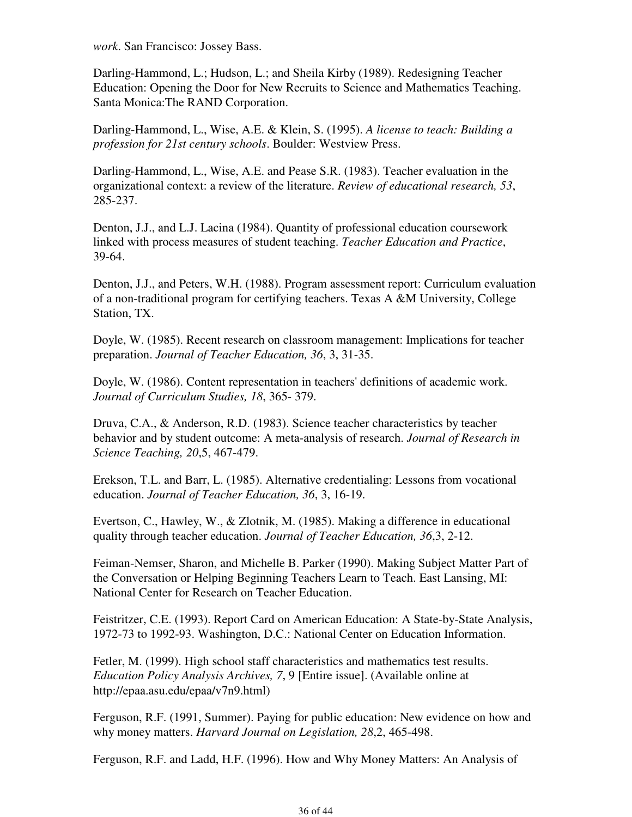*work*. San Francisco: Jossey Bass.

Darling-Hammond, L.; Hudson, L.; and Sheila Kirby (1989). Redesigning Teacher Education: Opening the Door for New Recruits to Science and Mathematics Teaching. Santa Monica:The RAND Corporation.

Darling-Hammond, L., Wise, A.E. & Klein, S. (1995). *A license to teach: Building a profession for 21st century schools*. Boulder: Westview Press.

Darling-Hammond, L., Wise, A.E. and Pease S.R. (1983). Teacher evaluation in the organizational context: a review of the literature. *Review of educational research, 53*, 285-237.

Denton, J.J., and L.J. Lacina (1984). Quantity of professional education coursework linked with process measures of student teaching. *Teacher Education and Practice*, 39-64.

Denton, J.J., and Peters, W.H. (1988). Program assessment report: Curriculum evaluation of a non-traditional program for certifying teachers. Texas A &M University, College Station, TX.

Doyle, W. (1985). Recent research on classroom management: Implications for teacher preparation. *Journal of Teacher Education, 36*, 3, 31-35.

Doyle, W. (1986). Content representation in teachers' definitions of academic work. *Journal of Curriculum Studies, 18*, 365- 379.

Druva, C.A., & Anderson, R.D. (1983). Science teacher characteristics by teacher behavior and by student outcome: A meta-analysis of research. *Journal of Research in Science Teaching, 20*,5, 467-479.

Erekson, T.L. and Barr, L. (1985). Alternative credentialing: Lessons from vocational education. *Journal of Teacher Education, 36*, 3, 16-19.

Evertson, C., Hawley, W., & Zlotnik, M. (1985). Making a difference in educational quality through teacher education. *Journal of Teacher Education, 36*,3, 2-12.

Feiman-Nemser, Sharon, and Michelle B. Parker (1990). Making Subject Matter Part of the Conversation or Helping Beginning Teachers Learn to Teach. East Lansing, MI: National Center for Research on Teacher Education.

Feistritzer, C.E. (1993). Report Card on American Education: A State-by-State Analysis, 1972-73 to 1992-93. Washington, D.C.: National Center on Education Information.

Fetler, M. (1999). High school staff characteristics and mathematics test results. *Education Policy Analysis Archives, 7*, 9 [Entire issue]. (Available online at http://epaa.asu.edu/epaa/v7n9.html)

Ferguson, R.F. (1991, Summer). Paying for public education: New evidence on how and why money matters. *Harvard Journal on Legislation, 28*,2, 465-498.

Ferguson, R.F. and Ladd, H.F. (1996). How and Why Money Matters: An Analysis of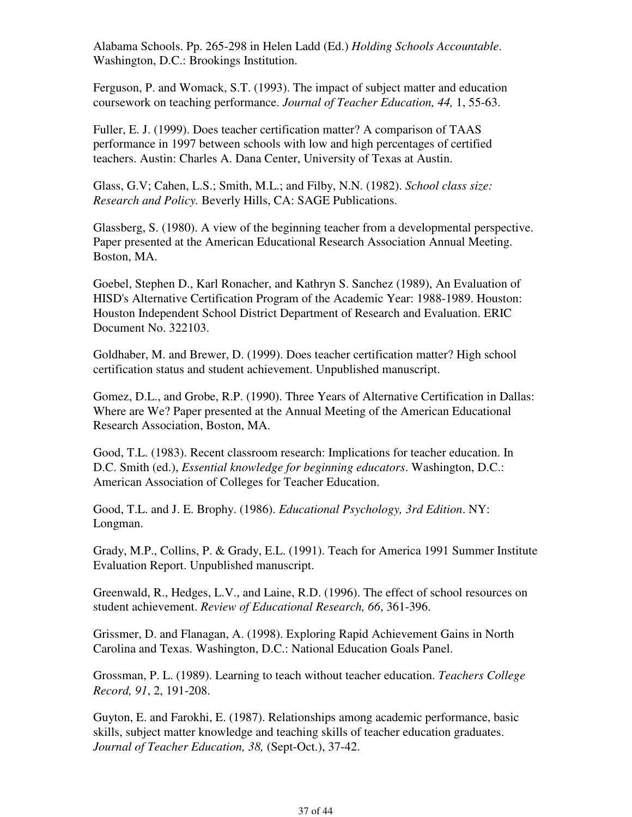Alabama Schools. Pp. 265-298 in Helen Ladd (Ed.) *Holding Schools Accountable*. Washington, D.C.: Brookings Institution.

Ferguson, P. and Womack, S.T. (1993). The impact of subject matter and education coursework on teaching performance. *Journal of Teacher Education, 44,* 1, 55-63.

Fuller, E. J. (1999). Does teacher certification matter? A comparison of TAAS performance in 1997 between schools with low and high percentages of certified teachers. Austin: Charles A. Dana Center, University of Texas at Austin.

Glass, G.V; Cahen, L.S.; Smith, M.L.; and Filby, N.N. (1982). *School class size: Research and Policy.* Beverly Hills, CA: SAGE Publications.

Glassberg, S. (1980). A view of the beginning teacher from a developmental perspective. Paper presented at the American Educational Research Association Annual Meeting. Boston, MA.

Goebel, Stephen D., Karl Ronacher, and Kathryn S. Sanchez (1989), An Evaluation of HISD's Alternative Certification Program of the Academic Year: 1988-1989. Houston: Houston Independent School District Department of Research and Evaluation. ERIC Document No. 322103.

Goldhaber, M. and Brewer, D. (1999). Does teacher certification matter? High school certification status and student achievement. Unpublished manuscript.

Gomez, D.L., and Grobe, R.P. (1990). Three Years of Alternative Certification in Dallas: Where are We? Paper presented at the Annual Meeting of the American Educational Research Association, Boston, MA.

Good, T.L. (1983). Recent classroom research: Implications for teacher education. In D.C. Smith (ed.), *Essential knowledge for beginning educators*. Washington, D.C.: American Association of Colleges for Teacher Education.

Good, T.L. and J. E. Brophy. (1986). *Educational Psychology, 3rd Edition*. NY: Longman.

Grady, M.P., Collins, P. & Grady, E.L. (1991). Teach for America 1991 Summer Institute Evaluation Report. Unpublished manuscript.

Greenwald, R., Hedges, L.V., and Laine, R.D. (1996). The effect of school resources on student achievement. *Review of Educational Research, 66*, 361-396.

Grissmer, D. and Flanagan, A. (1998). Exploring Rapid Achievement Gains in North Carolina and Texas. Washington, D.C.: National Education Goals Panel.

Grossman, P. L. (1989). Learning to teach without teacher education. *Teachers College Record, 91*, 2, 191-208.

Guyton, E. and Farokhi, E. (1987). Relationships among academic performance, basic skills, subject matter knowledge and teaching skills of teacher education graduates. *Journal of Teacher Education, 38,* (Sept-Oct.), 37-42.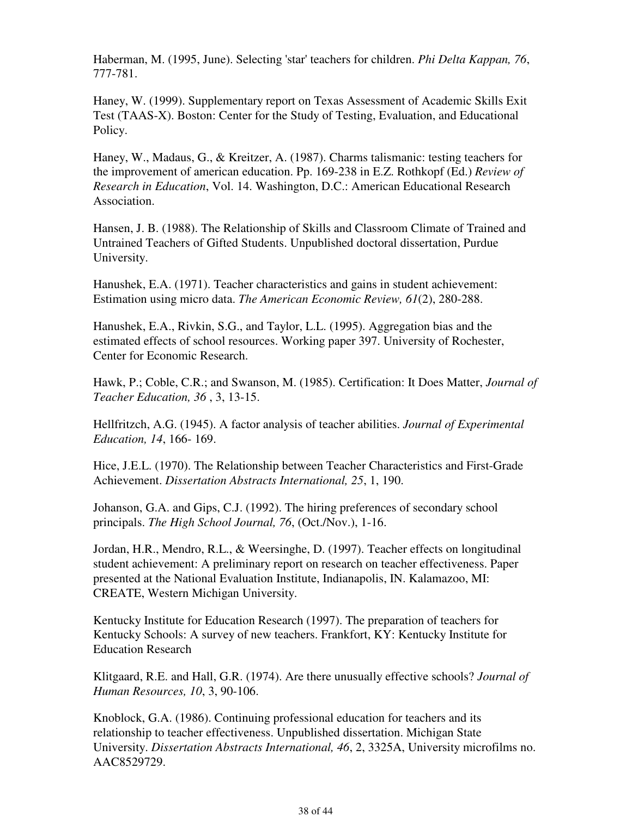Haberman, M. (1995, June). Selecting 'star' teachers for children. *Phi Delta Kappan, 76*, 777-781.

Haney, W. (1999). Supplementary report on Texas Assessment of Academic Skills Exit Test (TAAS-X). Boston: Center for the Study of Testing, Evaluation, and Educational Policy.

Haney, W., Madaus, G., & Kreitzer, A. (1987). Charms talismanic: testing teachers for the improvement of american education. Pp. 169-238 in E.Z. Rothkopf (Ed.) *Review of Research in Education*, Vol. 14. Washington, D.C.: American Educational Research Association.

Hansen, J. B. (1988). The Relationship of Skills and Classroom Climate of Trained and Untrained Teachers of Gifted Students. Unpublished doctoral dissertation, Purdue University.

Hanushek, E.A. (1971). Teacher characteristics and gains in student achievement: Estimation using micro data. *The American Economic Review, 61*(2), 280-288.

Hanushek, E.A., Rivkin, S.G., and Taylor, L.L. (1995). Aggregation bias and the estimated effects of school resources. Working paper 397. University of Rochester, Center for Economic Research.

Hawk, P.; Coble, C.R.; and Swanson, M. (1985). Certification: It Does Matter, *Journal of Teacher Education, 36* , 3, 13-15.

Hellfritzch, A.G. (1945). A factor analysis of teacher abilities. *Journal of Experimental Education, 14*, 166- 169.

Hice, J.E.L. (1970). The Relationship between Teacher Characteristics and First-Grade Achievement. *Dissertation Abstracts International, 25*, 1, 190.

Johanson, G.A. and Gips, C.J. (1992). The hiring preferences of secondary school principals. *The High School Journal, 76*, (Oct./Nov.), 1-16.

Jordan, H.R., Mendro, R.L., & Weersinghe, D. (1997). Teacher effects on longitudinal student achievement: A preliminary report on research on teacher effectiveness. Paper presented at the National Evaluation Institute, Indianapolis, IN. Kalamazoo, MI: CREATE, Western Michigan University.

Kentucky Institute for Education Research (1997). The preparation of teachers for Kentucky Schools: A survey of new teachers. Frankfort, KY: Kentucky Institute for Education Research

Klitgaard, R.E. and Hall, G.R. (1974). Are there unusually effective schools? *Journal of Human Resources, 10*, 3, 90-106.

Knoblock, G.A. (1986). Continuing professional education for teachers and its relationship to teacher effectiveness. Unpublished dissertation. Michigan State University. *Dissertation Abstracts International, 46*, 2, 3325A, University microfilms no. AAC8529729.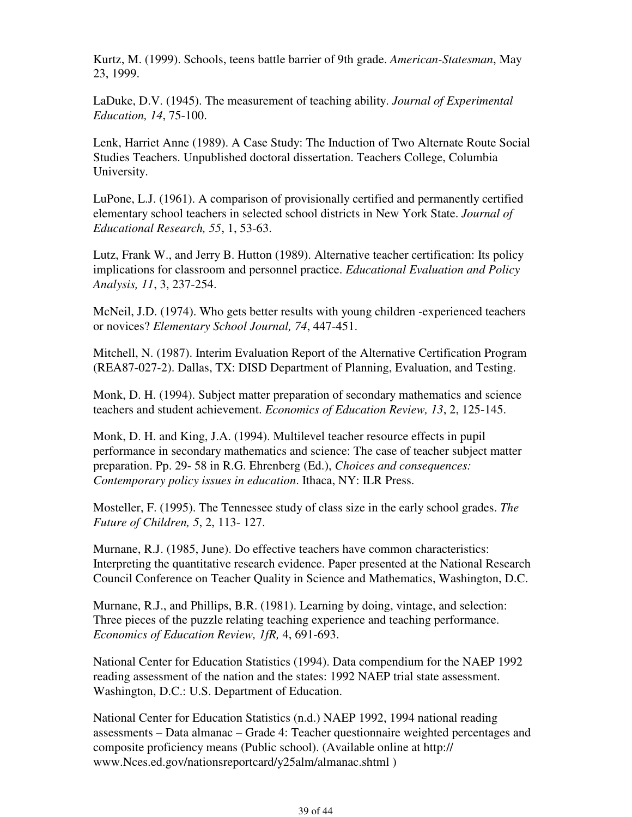Kurtz, M. (1999). Schools, teens battle barrier of 9th grade. *American-Statesman*, May 23, 1999.

LaDuke, D.V. (1945). The measurement of teaching ability. *Journal of Experimental Education, 14*, 75-100.

Lenk, Harriet Anne (1989). A Case Study: The Induction of Two Alternate Route Social Studies Teachers. Unpublished doctoral dissertation. Teachers College, Columbia University.

LuPone, L.J. (1961). A comparison of provisionally certified and permanently certified elementary school teachers in selected school districts in New York State. *Journal of Educational Research, 55*, 1, 53-63.

Lutz, Frank W., and Jerry B. Hutton (1989). Alternative teacher certification: Its policy implications for classroom and personnel practice. *Educational Evaluation and Policy Analysis, 11*, 3, 237-254.

McNeil, J.D. (1974). Who gets better results with young children -experienced teachers or novices? *Elementary School Journal, 74*, 447-451.

Mitchell, N. (1987). Interim Evaluation Report of the Alternative Certification Program (REA87-027-2). Dallas, TX: DISD Department of Planning, Evaluation, and Testing.

Monk, D. H. (1994). Subject matter preparation of secondary mathematics and science teachers and student achievement. *Economics of Education Review, 13*, 2, 125-145.

Monk, D. H. and King, J.A. (1994). Multilevel teacher resource effects in pupil performance in secondary mathematics and science: The case of teacher subject matter preparation. Pp. 29- 58 in R.G. Ehrenberg (Ed.), *Choices and consequences: Contemporary policy issues in education*. Ithaca, NY: ILR Press.

Mosteller, F. (1995). The Tennessee study of class size in the early school grades. *The Future of Children, 5*, 2, 113- 127.

Murnane, R.J. (1985, June). Do effective teachers have common characteristics: Interpreting the quantitative research evidence. Paper presented at the National Research Council Conference on Teacher Quality in Science and Mathematics, Washington, D.C.

Murnane, R.J., and Phillips, B.R. (1981). Learning by doing, vintage, and selection: Three pieces of the puzzle relating teaching experience and teaching performance. *Economics of Education Review, 1fR,* 4, 691-693.

National Center for Education Statistics (1994). Data compendium for the NAEP 1992 reading assessment of the nation and the states: 1992 NAEP trial state assessment. Washington, D.C.: U.S. Department of Education.

National Center for Education Statistics (n.d.) NAEP 1992, 1994 national reading assessments – Data almanac – Grade 4: Teacher questionnaire weighted percentages and composite proficiency means (Public school). (Available online at http:// www.Nces.ed.gov/nationsreportcard/y25alm/almanac.shtml )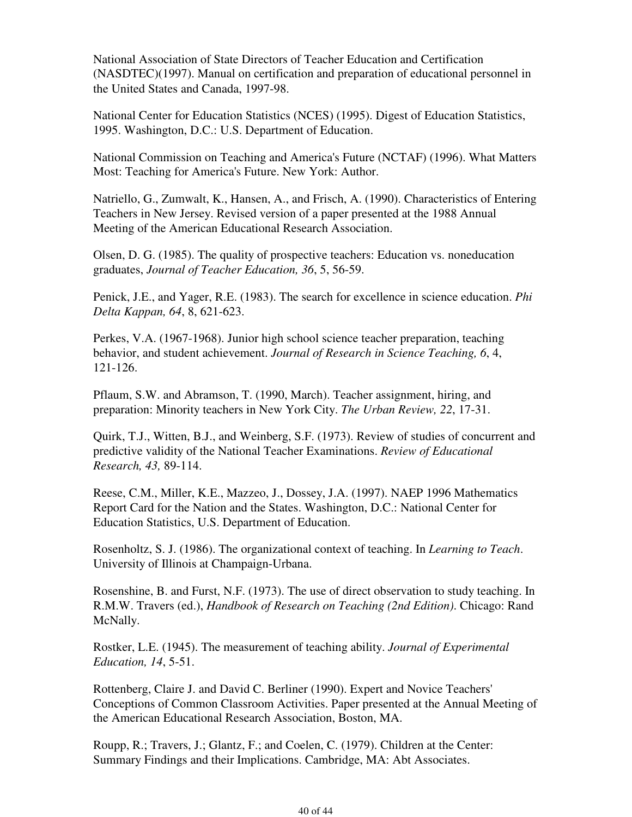National Association of State Directors of Teacher Education and Certification (NASDTEC)(1997). Manual on certification and preparation of educational personnel in the United States and Canada, 1997-98.

National Center for Education Statistics (NCES) (1995). Digest of Education Statistics, 1995. Washington, D.C.: U.S. Department of Education.

National Commission on Teaching and America's Future (NCTAF) (1996). What Matters Most: Teaching for America's Future. New York: Author.

Natriello, G., Zumwalt, K., Hansen, A., and Frisch, A. (1990). Characteristics of Entering Teachers in New Jersey. Revised version of a paper presented at the 1988 Annual Meeting of the American Educational Research Association.

Olsen, D. G. (1985). The quality of prospective teachers: Education vs. noneducation graduates, *Journal of Teacher Education, 36*, 5, 56-59.

Penick, J.E., and Yager, R.E. (1983). The search for excellence in science education. *Phi Delta Kappan, 64*, 8, 621-623.

Perkes, V.A. (1967-1968). Junior high school science teacher preparation, teaching behavior, and student achievement. *Journal of Research in Science Teaching, 6*, 4, 121-126.

Pflaum, S.W. and Abramson, T. (1990, March). Teacher assignment, hiring, and preparation: Minority teachers in New York City. *The Urban Review, 22*, 17-31.

Quirk, T.J., Witten, B.J., and Weinberg, S.F. (1973). Review of studies of concurrent and predictive validity of the National Teacher Examinations. *Review of Educational Research, 43,* 89-114.

Reese, C.M., Miller, K.E., Mazzeo, J., Dossey, J.A. (1997). NAEP 1996 Mathematics Report Card for the Nation and the States. Washington, D.C.: National Center for Education Statistics, U.S. Department of Education.

Rosenholtz, S. J. (1986). The organizational context of teaching. In *Learning to Teach*. University of Illinois at Champaign-Urbana.

Rosenshine, B. and Furst, N.F. (1973). The use of direct observation to study teaching. In R.M.W. Travers (ed.), *Handbook of Research on Teaching (2nd Edition)*. Chicago: Rand McNally.

Rostker, L.E. (1945). The measurement of teaching ability. *Journal of Experimental Education, 14*, 5-51.

Rottenberg, Claire J. and David C. Berliner (1990). Expert and Novice Teachers' Conceptions of Common Classroom Activities. Paper presented at the Annual Meeting of the American Educational Research Association, Boston, MA.

Roupp, R.; Travers, J.; Glantz, F.; and Coelen, C. (1979). Children at the Center: Summary Findings and their Implications. Cambridge, MA: Abt Associates.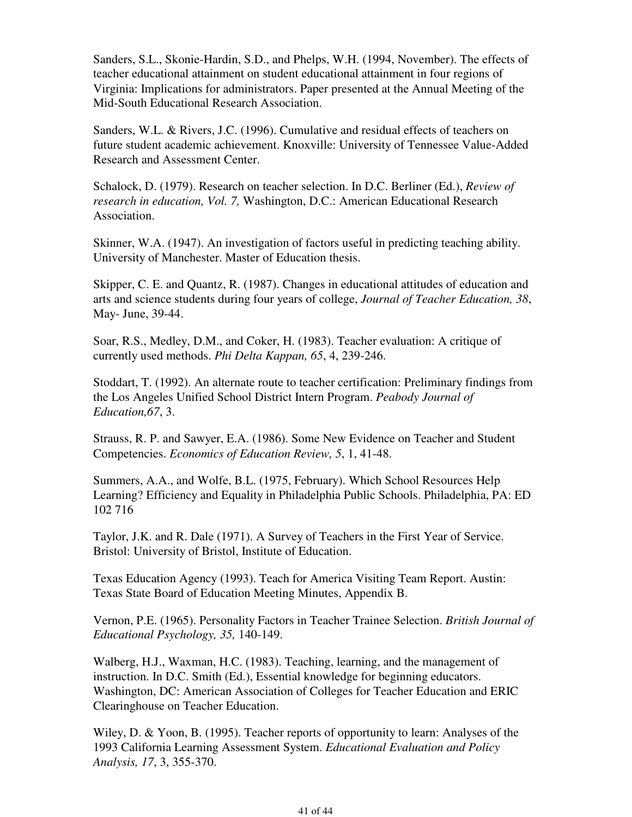Sanders, S.L., Skonie-Hardin, S.D., and Phelps, W.H. (1994, November). The effects of teacher educational attainment on student educational attainment in four regions of Virginia: Implications for administrators. Paper presented at the Annual Meeting of the Mid-South Educational Research Association.

Sanders, W.L. & Rivers, J.C. (1996). Cumulative and residual effects of teachers on future student academic achievement. Knoxville: University of Tennessee Value-Added Research and Assessment Center.

Schalock, D. (1979). Research on teacher selection. In D.C. Berliner (Ed.), *Review of research in education, Vol. 7,* Washington, D.C.: American Educational Research Association.

Skinner, W.A. (1947). An investigation of factors useful in predicting teaching ability. University of Manchester. Master of Education thesis.

Skipper, C. E. and Quantz, R. (1987). Changes in educational attitudes of education and arts and science students during four years of college, *Journal of Teacher Education, 38*, May- June, 39-44.

Soar, R.S., Medley, D.M., and Coker, H. (1983). Teacher evaluation: A critique of currently used methods. *Phi Delta Kappan, 65*, 4, 239-246.

Stoddart, T. (1992). An alternate route to teacher certification: Preliminary findings from the Los Angeles Unified School District Intern Program. *Peabody Journal of Education,67*, 3.

Strauss, R. P. and Sawyer, E.A. (1986). Some New Evidence on Teacher and Student Competencies. *Economics of Education Review, 5*, 1, 41-48.

Summers, A.A., and Wolfe, B.L. (1975, February). Which School Resources Help Learning? Efficiency and Equality in Philadelphia Public Schools. Philadelphia, PA: ED 102 716

Taylor, J.K. and R. Dale (1971). A Survey of Teachers in the First Year of Service. Bristol: University of Bristol, Institute of Education.

Texas Education Agency (1993). Teach for America Visiting Team Report. Austin: Texas State Board of Education Meeting Minutes, Appendix B.

Vernon, P.E. (1965). Personality Factors in Teacher Trainee Selection. *British Journal of Educational Psychology, 35,* 140-149.

Walberg, H.J., Waxman, H.C. (1983). Teaching, learning, and the management of instruction. In D.C. Smith (Ed.), Essential knowledge for beginning educators. Washington, DC: American Association of Colleges for Teacher Education and ERIC Clearinghouse on Teacher Education.

Wiley, D. & Yoon, B. (1995). Teacher reports of opportunity to learn: Analyses of the 1993 California Learning Assessment System. *Educational Evaluation and Policy Analysis, 17*, 3, 355-370.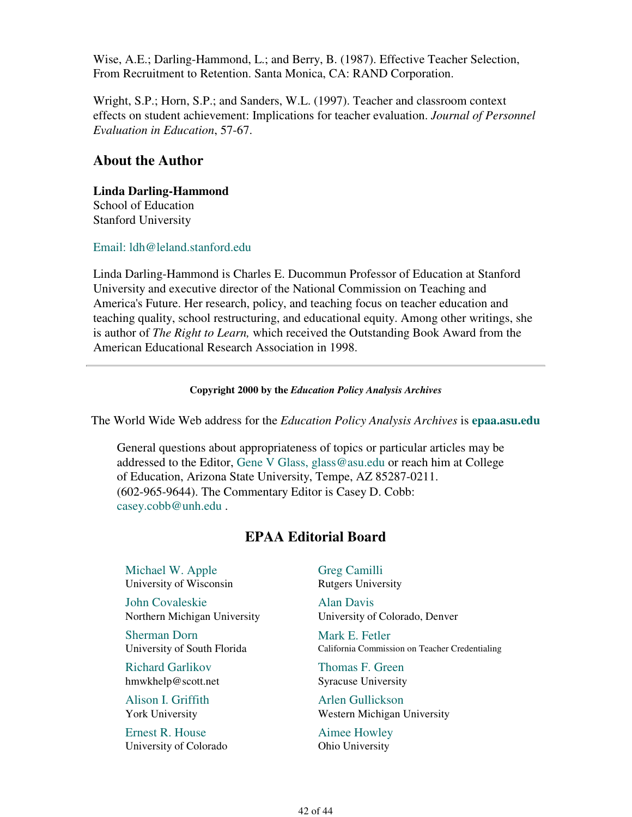Wise, A.E.; Darling-Hammond, L.; and Berry, B. (1987). Effective Teacher Selection, From Recruitment to Retention. Santa Monica, CA: RAND Corporation.

Wright, S.P.; Horn, S.P.; and Sanders, W.L. (1997). Teacher and classroom context effects on student achievement: Implications for teacher evaluation. *Journal of Personnel Evaluation in Education*, 57-67.

### **About the Author**

### **Linda Darling-Hammond**

School of Education Stanford University

Email: ldh@leland.stanford.edu

Linda Darling-Hammond is Charles E. Ducommun Professor of Education at Stanford University and executive director of the National Commission on Teaching and America's Future. Her research, policy, and teaching focus on teacher education and teaching quality, school restructuring, and educational equity. Among other writings, she is author of *The Right to Learn,* which received the Outstanding Book Award from the American Educational Research Association in 1998.

#### **Copyright 2000 by the** *Education Policy Analysis Archives*

The World Wide Web address for the *Education Policy Analysis Archives* is **epaa.asu.edu**

General questions about appropriateness of topics or particular articles may be addressed to the Editor, Gene V Glass, glass@asu.edu or reach him at College of Education, Arizona State University, Tempe, AZ 85287-0211. (602-965-9644). The Commentary Editor is Casey D. Cobb: casey.cobb@unh.edu .

### **EPAA Editorial Board**

Michael W. Apple University of Wisconsin

John Covaleskie Northern Michigan University

Sherman Dorn University of South Florida

Richard Garlikov hmwkhelp@scott.net

Alison I. Griffith York University

Ernest R. House University of Colorado Greg Camilli Rutgers University

Alan Davis University of Colorado, Denver

Mark E. Fetler California Commission on Teacher Credentialing

Thomas F. Green Syracuse University

Arlen Gullickson Western Michigan University

Aimee Howley Ohio University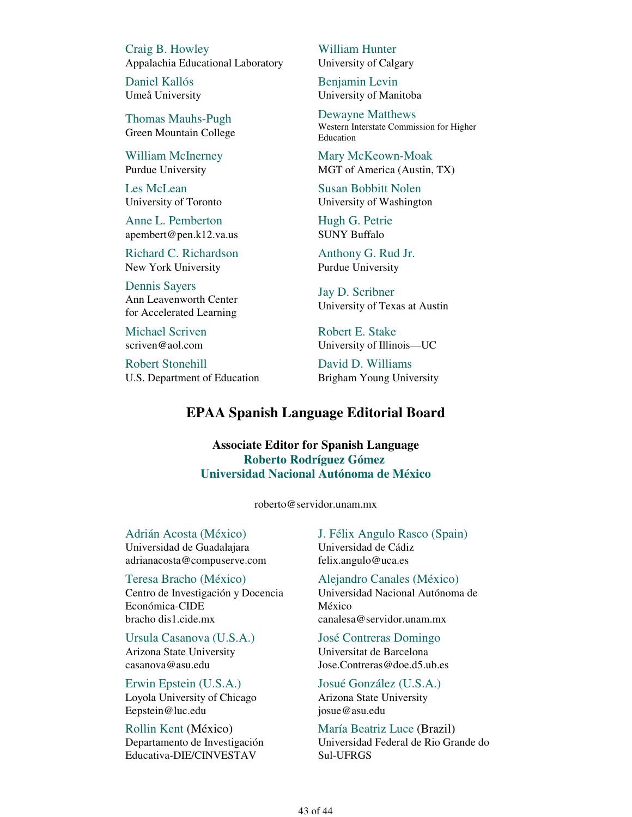Craig B. Howley Appalachia Educational Laboratory

Daniel Kallós Umeå University

Thomas Mauhs-Pugh Green Mountain College

William McInerney Purdue University

Les McLean University of Toronto

Anne L. Pemberton apembert@pen.k12.va.us

Richard C. Richardson New York University

Dennis Sayers Ann Leavenworth Center for Accelerated Learning

Michael Scriven scriven@aol.com

Robert Stonehill U.S. Department of Education William Hunter University of Calgary

Benjamin Levin University of Manitoba

Dewayne Matthews Western Interstate Commission for Higher Education

Mary McKeown-Moak MGT of America (Austin, TX)

Susan Bobbitt Nolen University of Washington

Hugh G. Petrie SUNY Buffalo

Anthony G. Rud Jr. Purdue University

Jay D. Scribner University of Texas at Austin

Robert E. Stake University of Illinois—UC

David D. Williams Brigham Young University

### **EPAA Spanish Language Editorial Board**

**Associate Editor for Spanish Language Roberto Rodríguez Gómez Universidad Nacional Autónoma de México**

roberto@servidor.unam.mx

Adrián Acosta (México) Universidad de Guadalajara adrianacosta@compuserve.com

Teresa Bracho (México) Centro de Investigación y Docencia Económica-CIDE bracho dis1.cide.mx

Ursula Casanova (U.S.A.) Arizona State University casanova@asu.edu

Erwin Epstein (U.S.A.) Loyola University of Chicago Eepstein@luc.edu

Rollin Kent (México) Departamento de Investigación Educativa-DIE/CINVESTAV

J. Félix Angulo Rasco (Spain) Universidad de Cádiz felix.angulo@uca.es

Alejandro Canales (México) Universidad Nacional Autónoma de México canalesa@servidor.unam.mx

José Contreras Domingo Universitat de Barcelona Jose.Contreras@doe.d5.ub.es

Josué González (U.S.A.) Arizona State University josue@asu.edu

María Beatriz Luce (Brazil) Universidad Federal de Rio Grande do Sul-UFRGS